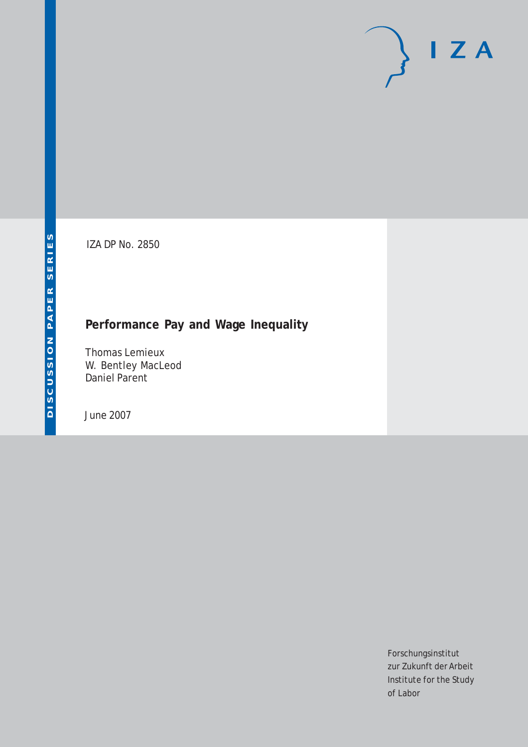# $I Z A$

IZA DP No. 2850

## **Performance Pay and Wage Inequality**

Thomas Lemieux W. Bentley MacLeod Daniel Parent

June 2007

Forschungsinstitut zur Zukunft der Arbeit Institute for the Study of Labor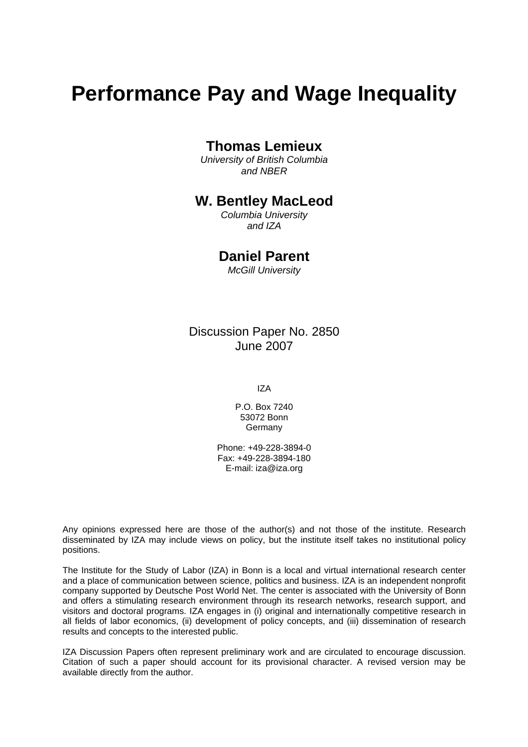# **Performance Pay and Wage Inequality**

## **Thomas Lemieux**

*University of British Columbia and NBER* 

## **W. Bentley MacLeod**

*Columbia University and IZA* 

## **Daniel Parent**

*McGill University* 

Discussion Paper No. 2850 June 2007

IZA

P.O. Box 7240 53072 Bonn Germany

Phone: +49-228-3894-0 Fax: +49-228-3894-180 E-mail: [iza@iza.org](mailto:iza@iza.org)

Any opinions expressed here are those of the author(s) and not those of the institute. Research disseminated by IZA may include views on policy, but the institute itself takes no institutional policy positions.

The Institute for the Study of Labor (IZA) in Bonn is a local and virtual international research center and a place of communication between science, politics and business. IZA is an independent nonprofit company supported by Deutsche Post World Net. The center is associated with the University of Bonn and offers a stimulating research environment through its research networks, research support, and visitors and doctoral programs. IZA engages in (i) original and internationally competitive research in all fields of labor economics, (ii) development of policy concepts, and (iii) dissemination of research results and concepts to the interested public.

IZA Discussion Papers often represent preliminary work and are circulated to encourage discussion. Citation of such a paper should account for its provisional character. A revised version may be available directly from the author.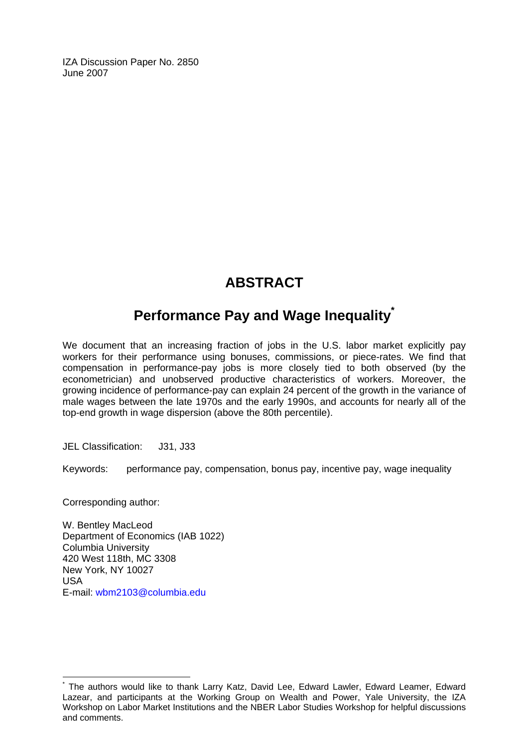IZA Discussion Paper No. 2850 June 2007

# **ABSTRACT**

# **Performance Pay and Wage Inequality[\\*](#page-2-0)**

We document that an increasing fraction of jobs in the U.S. labor market explicitly pay workers for their performance using bonuses, commissions, or piece-rates. We find that compensation in performance-pay jobs is more closely tied to both observed (by the econometrician) and unobserved productive characteristics of workers. Moreover, the growing incidence of performance-pay can explain 24 percent of the growth in the variance of male wages between the late 1970s and the early 1990s, and accounts for nearly all of the top-end growth in wage dispersion (above the 80th percentile).

JEL Classification: J31, J33

Keywords: performance pay, compensation, bonus pay, incentive pay, wage inequality

Corresponding author:

 $\overline{a}$ 

W. Bentley MacLeod Department of Economics (IAB 1022) Columbia University 420 West 118th, MC 3308 New York, NY 10027 USA E-mail: [wbm2103@columbia.edu](mailto:wbm2103@columbia.edu)

<span id="page-2-0"></span><sup>\*</sup> The authors would like to thank Larry Katz, David Lee, Edward Lawler, Edward Leamer, Edward Lazear, and participants at the Working Group on Wealth and Power, Yale University, the IZA Workshop on Labor Market Institutions and the NBER Labor Studies Workshop for helpful discussions and comments.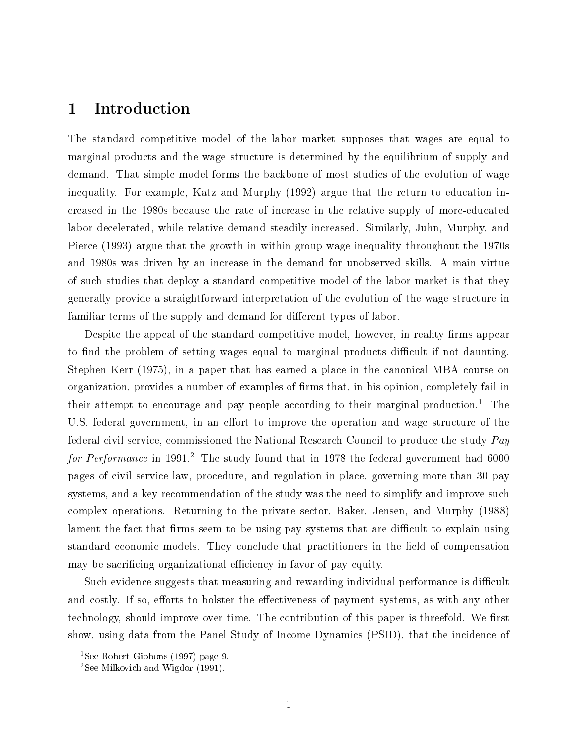## 1 Introduction

The standard competitive model of the labor market supposes that wages are equal to marginal products and the wage structure is determined by the equilibrium of supply and demand. That simple model forms the backbone of most studies of the evolution of wage inequality. For example, Katz and Murphy (1992) argue that the return to education increased in the 1980s because the rate of increase in the relative supply of more-educated labor decelerated, while relative demand steadily increased. Similarly, Juhn, Murphy, and Pierce (1993) argue that the growth in within-group wage inequality throughout the 1970s and 1980s was driven by an increase in the demand for unobserved skills. A main virtue of such studies that deploy a standard competitive model of the labor market is that they generally provide a straightforward interpretation of the evolution of the wage structure in familiar terms of the supply and demand for different types of labor.

Despite the appeal of the standard competitive model, however, in reality firms appear to find the problem of setting wages equal to marginal products difficult if not daunting. Stephen Kerr (1975), in a paper that has earned a place in the canonical MBA course on organization, provides a number of examples of firms that, in his opinion, completely fail in their attempt to encourage and pay people according to their marginal production.<sup>1</sup> The U.S. federal government, in an effort to improve the operation and wage structure of the federal civil service, commissioned the National Research Council to produce the study Pay for Performance in 1991.<sup>2</sup> The study found that in 1978 the federal government had  $6000$ pages of civil service law, procedure, and regulation in place, governing more than 30 pay systems, and a key recommendation of the study was the need to simplify and improve such complex operations. Returning to the private sector, Baker, Jensen, and Murphy (1988) lament the fact that firms seem to be using pay systems that are difficult to explain using standard economic models. They conclude that practitioners in the field of compensation may be sacrificing organizational efficiency in favor of pay equity.

Such evidence suggests that measuring and rewarding individual performance is difficult and costly. If so, efforts to bolster the effectiveness of payment systems, as with any other technology, should improve over time. The contribution of this paper is threefold. We first show, using data from the Panel Study of Income Dynamics (PSID), that the incidence of

<sup>&</sup>lt;sup>1</sup>See Robert Gibbons (1997) page 9.

<sup>2</sup>See Milkovich and Wigdor (1991).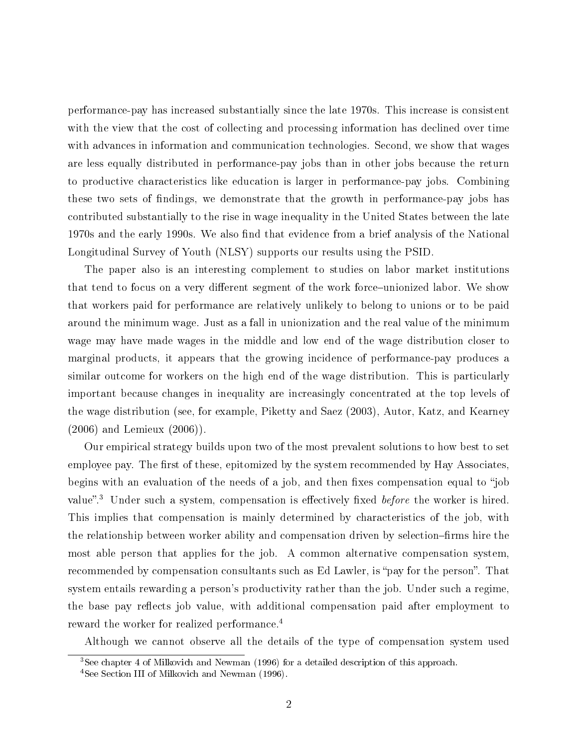performance-pay has increased substantially since the late 1970s. This increase is consistent with the view that the cost of collecting and processing information has declined over time with advances in information and communication technologies. Second, we show that wages are less equally distributed in performance-pay jobs than in other jobs because the return to productive characteristics like education is larger in performance-pay jobs. Combining these two sets of findings, we demonstrate that the growth in performance-pay jobs has contributed substantially to the rise in wage inequality in the United States between the late 1970s and the early 1990s. We also find that evidence from a brief analysis of the National Longitudinal Survey of Youth (NLSY) supports our results using the PSID.

The paper also is an interesting complement to studies on labor market institutions that tend to focus on a very different segment of the work force-unionized labor. We show that workers paid for performance are relatively unlikely to belong to unions or to be paid around the minimum wage. Just as a fall in unionization and the real value of the minimum wage may have made wages in the middle and low end of the wage distribution closer to marginal products, it appears that the growing incidence of performance-pay produces a similar outcome for workers on the high end of the wage distribution. This is particularly important because changes in inequality are increasingly concentrated at the top levels of the wage distribution (see, for example, Piketty and Saez (2003), Autor, Katz, and Kearney (2006) and Lemieux (2006)).

Our empirical strategy builds upon two of the most prevalent solutions to how best to set employee pay. The first of these, epitomized by the system recommended by Hay Associates. begins with an evaluation of the needs of a job, and then fixes compensation equal to "job value".<sup>3</sup> Under such a system, compensation is effectively fixed *before* the worker is hired. This implies that compensation is mainly determined by characteristics of the job, with the relationship between worker ability and compensation driven by selection-firms hire the most able person that applies for the job. A common alternative compensation system, recommended by compensation consultants such as Ed Lawler, is "pay for the person". That system entails rewarding a person's productivity rather than the job. Under such a regime, the base pay reflects job value, with additional compensation paid after employment to reward the worker for realized performance.<sup>4</sup>

Although we cannot observe all the details of the type of compensation system used

<sup>3</sup>See chapter 4 of Milkovich and Newman (1996) for a detailed description of this approach.

<sup>4</sup>See Section III of Milkovich and Newman (1996).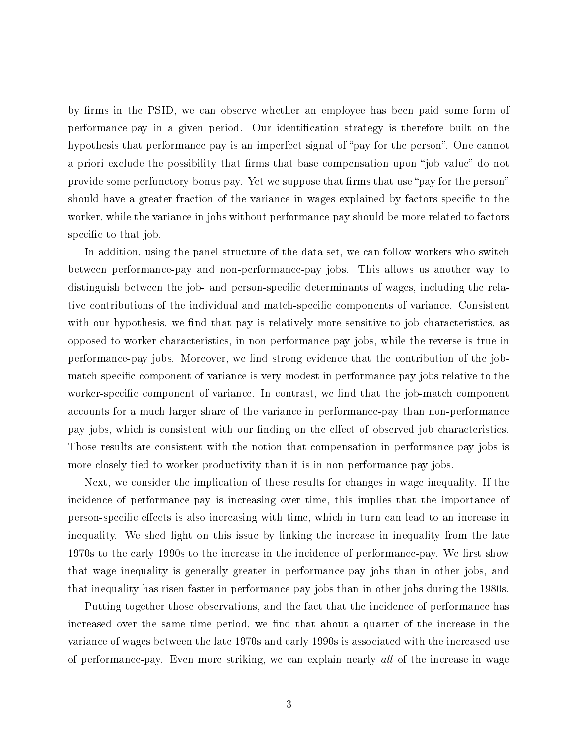by firms in the PSID, we can observe whether an employee has been paid some form of performance-pay in a given period. Our identification strategy is therefore built on the hypothesis that performance pay is an imperfect signal of "pay for the person". One cannot a priori exclude the possibility that firms that base compensation upon "job value" do not provide some perfunctory bonus pay. Yet we suppose that firms that use "pay for the person" should have a greater fraction of the variance in wages explained by factors specific to the worker, while the variance in jobs without performance-pay should be more related to factors specific to that job.

In addition, using the panel structure of the data set, we can follow workers who switch between performance-pay and non-performance-pay jobs. This allows us another way to distinguish between the job- and person-specific determinants of wages, including the relative contributions of the individual and match-specific components of variance. Consistent with our hypothesis, we find that pay is relatively more sensitive to job characteristics, as opposed to worker characteristics, in non-performance-pay jobs, while the reverse is true in performance-pay jobs. Moreover, we find strong evidence that the contribution of the jobmatch specific component of variance is very modest in performance-pay jobs relative to the worker-specific component of variance. In contrast, we find that the job-match component accounts for a much larger share of the variance in performance-pay than non-performance pay jobs, which is consistent with our finding on the effect of observed job characteristics. Those results are consistent with the notion that compensation in performance-pay jobs is more closely tied to worker productivity than it is in non-performance-pay jobs.

Next, we consider the implication of these results for changes in wage inequality. If the incidence of performance-pay is increasing over time, this implies that the importance of person-specific effects is also increasing with time, which in turn can lead to an increase in inequality. We shed light on this issue by linking the increase in inequality from the late 1970s to the early 1990s to the increase in the incidence of performance-pay. We first show that wage inequality is generally greater in performance-pay jobs than in other jobs, and that inequality has risen faster in performance-pay jobs than in other jobs during the 1980s.

Putting together those observations, and the fact that the incidence of performance has increased over the same time period, we find that about a quarter of the increase in the variance of wages between the late 1970s and early 1990s is associated with the increased use of performance-pay. Even more striking, we can explain nearly all of the increase in wage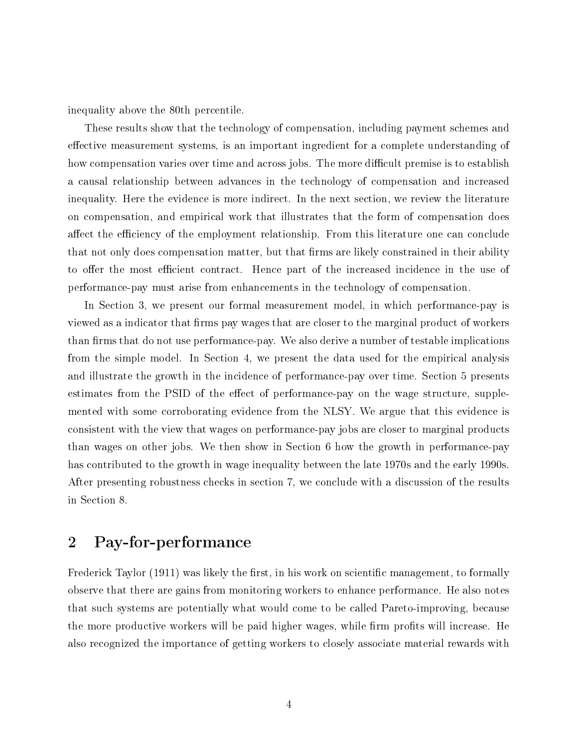inequality above the 80th percentile.

These results show that the technology of compensation, including payment schemes and effective measurement systems, is an important ingredient for a complete understanding of how compensation varies over time and across jobs. The more difficult premise is to establish a causal relationship between advances in the technology of compensation and increased inequality. Here the evidence is more indirect. In the next section, we review the literature on compensation, and empirical work that illustrates that the form of compensation does affect the efficiency of the employment relationship. From this literature one can conclude that not only does compensation matter, but that firms are likely constrained in their ability to offer the most efficient contract. Hence part of the increased incidence in the use of performance-pay must arise from enhancements in the technology of compensation.

In Section 3, we present our formal measurement model, in which performance-pay is viewed as a indicator that firms pay wages that are closer to the marginal product of workers than firms that do not use performance-pay. We also derive a number of testable implications from the simple model. In Section 4, we present the data used for the empirical analysis and illustrate the growth in the incidence of performance-pay over time. Section 5 presents estimates from the PSID of the effect of performance-pay on the wage structure, supplemented with some corroborating evidence from the NLSY. We argue that this evidence is consistent with the view that wages on performance-pay jobs are closer to marginal products than wages on other jobs. We then show in Section 6 how the growth in performance-pay has contributed to the growth in wage inequality between the late 1970s and the early 1990s. After presenting robustness checks in section 7, we conclude with a discussion of the results in Section 8.

## 2 Pay-for-performance

Frederick Taylor (1911) was likely the first, in his work on scientific management, to formally observe that there are gains from monitoring workers to enhance performance. He also notes that such systems are potentially what would come to be called Pareto-improving, because the more productive workers will be paid higher wages, while firm profits will increase. He also recognized the importance of getting workers to closely associate material rewards with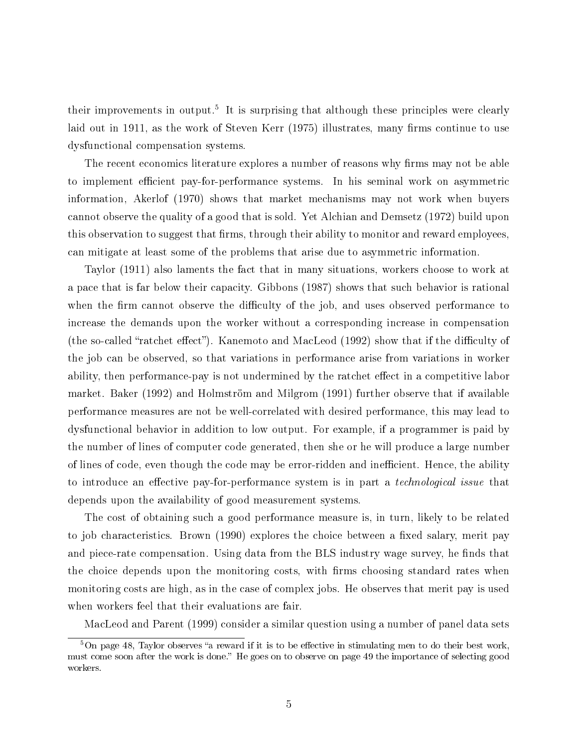their improvements in output.<sup>5</sup> It is surprising that although these principles were clearly laid out in 1911, as the work of Steven Kerr (1975) illustrates, many firms continue to use dysfunctional compensation systems.

The recent economics literature explores a number of reasons why firms may not be able to implement efficient pay-for-performance systems. In his seminal work on asymmetric information, Akerlof (1970) shows that market mechanisms may not work when buyers cannot observe the quality of a good that is sold. Yet Alchian and Demsetz (1972) build upon this observation to suggest that firms, through their ability to monitor and reward employees, can mitigate at least some of the problems that arise due to asymmetric information.

Taylor (1911) also laments the fact that in many situations, workers choose to work at a pace that is far below their capacity. Gibbons (1987) shows that such behavior is rational when the firm cannot observe the difficulty of the job, and uses observed performance to increase the demands upon the worker without a corresponding increase in compensation (the so-called "ratchet effect"). Kanemoto and MacLeod  $(1992)$  show that if the difficulty of the job can be observed, so that variations in performance arise from variations in worker ability, then performance-pay is not undermined by the ratchet effect in a competitive labor market. Baker (1992) and Holmström and Milgrom (1991) further observe that if available performance measures are not be well-correlated with desired performance, this may lead to dysfunctional behavior in addition to low output. For example, if a programmer is paid by the number of lines of computer code generated, then she or he will produce a large number of lines of code, even though the code may be error-ridden and inefficient. Hence, the ability to introduce an effective pay-for-performance system is in part a *technological issue* that depends upon the availability of good measurement systems.

The cost of obtaining such a good performance measure is, in turn, likely to be related to job characteristics. Brown (1990) explores the choice between a fixed salary, merit pay and piece-rate compensation. Using data from the BLS industry wage survey, he finds that the choice depends upon the monitoring costs, with firms choosing standard rates when monitoring costs are high, as in the case of complex jobs. He observes that merit pay is used when workers feel that their evaluations are fair.

MacLeod and Parent (1999) consider a similar question using a number of panel data sets

 $5$ On page 48, Taylor observes "a reward if it is to be effective in stimulating men to do their best work. must come soon after the work is done." He goes on to observe on page 49 the importance of selecting good workers.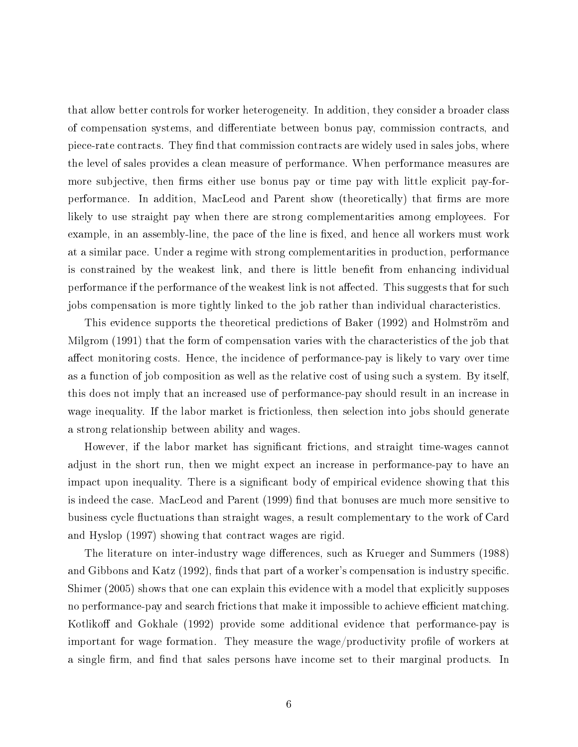that allow better controls for worker heterogeneity. In addition, they consider a broader class of compensation systems, and dierentiate between bonus pay, commission contracts, and piece-rate contracts. They find that commission contracts are widely used in sales jobs, where the level of sales provides a clean measure of performance. When performance measures are more subjective, then firms either use bonus pay or time pay with little explicit pay-forperformance. In addition, MacLeod and Parent show (theoretically) that firms are more likely to use straight pay when there are strong complementarities among employees. For example, in an assembly-line, the pace of the line is fixed, and hence all workers must work at a similar pace. Under a regime with strong complementarities in production, performance is constrained by the weakest link, and there is little benefit from enhancing individual performance if the performance of the weakest link is not affected. This suggests that for such jobs compensation is more tightly linked to the job rather than individual characteristics.

This evidence supports the theoretical predictions of Baker (1992) and Holmström and Milgrom (1991) that the form of compensation varies with the characteristics of the job that affect monitoring costs. Hence, the incidence of performance-pay is likely to vary over time as a function of job composition as well as the relative cost of using such a system. By itself, this does not imply that an increased use of performance-pay should result in an increase in wage inequality. If the labor market is frictionless, then selection into jobs should generate a strong relationship between ability and wages.

However, if the labor market has signicant frictions, and straight time-wages cannot adjust in the short run, then we might expect an increase in performance-pay to have an impact upon inequality. There is a significant body of empirical evidence showing that this is indeed the case. MacLeod and Parent (1999) find that bonuses are much more sensitive to business cycle fluctuations than straight wages, a result complementary to the work of Card and Hyslop (1997) showing that contract wages are rigid.

The literature on inter-industry wage differences, such as Krueger and Summers (1988) and Gibbons and Katz (1992), finds that part of a worker's compensation is industry specific. Shimer (2005) shows that one can explain this evidence with a model that explicitly supposes no performance-pay and search frictions that make it impossible to achieve efficient matching. Kotlikoff and Gokhale (1992) provide some additional evidence that performance-pay is important for wage formation. They measure the wage/productivity profile of workers at a single firm, and find that sales persons have income set to their marginal products. In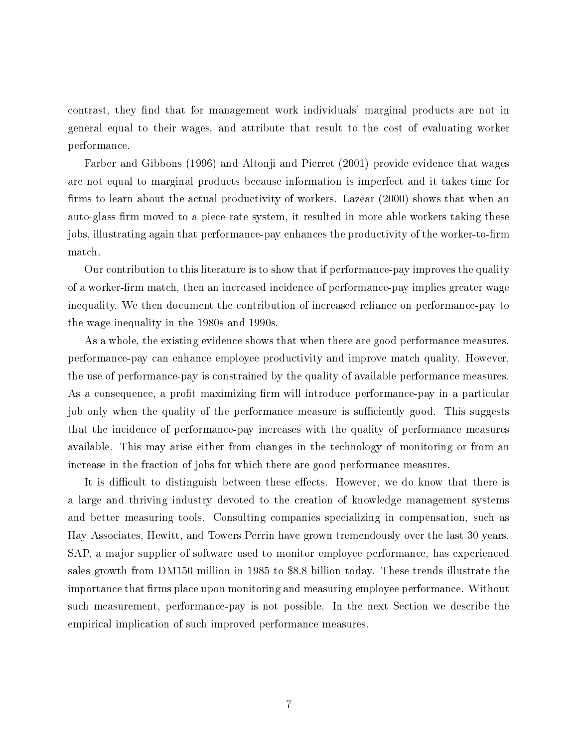contrast, they find that for management work individuals' marginal products are not in general equal to their wages, and attribute that result to the cost of evaluating worker performance.

Farber and Gibbons (1996) and Altonji and Pierret (2001) provide evidence that wages are not equal to marginal products because information is imperfect and it takes time for firms to learn about the actual productivity of workers. Lazear (2000) shows that when an auto-glass firm moved to a piece-rate system, it resulted in more able workers taking these jobs, illustrating again that performance-pay enhances the productivity of the worker-to-firm match.

Our contribution to this literature is to show that if performance-pay improves the quality of a worker-firm match, then an increased incidence of performance-pay implies greater wage inequality. We then document the contribution of increased reliance on performance-pay to the wage inequality in the 1980s and 1990s.

As a whole, the existing evidence shows that when there are good performance measures, performance-pay can enhance employee productivity and improve match quality. However, the use of performance-pay is constrained by the quality of available performance measures. As a consequence, a profit maximizing firm will introduce performance-pay in a particular job only when the quality of the performance measure is sufficiently good. This suggests that the incidence of performance-pay increases with the quality of performance measures available. This may arise either from changes in the technology of monitoring or from an increase in the fraction of jobs for which there are good performance measures.

It is difficult to distinguish between these effects. However, we do know that there is a large and thriving industry devoted to the creation of knowledge management systems and better measuring tools. Consulting companies specializing in compensation, such as Hay Associates, Hewitt, and Towers Perrin have grown tremendously over the last 30 years. SAP, a major supplier of software used to monitor employee performance, has experienced sales growth from DM150 million in 1985 to \$8.8 billion today. These trends illustrate the importance that firms place upon monitoring and measuring employee performance. Without such measurement, performance-pay is not possible. In the next Section we describe the empirical implication of such improved performance measures.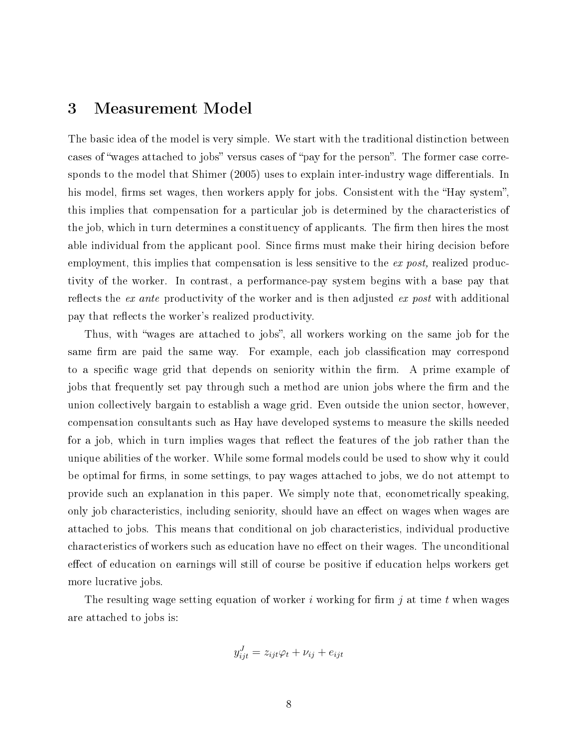## 3 Measurement Model

The basic idea of the model is very simple. We start with the traditional distinction between cases of "wages attached to jobs" versus cases of "pay for the person". The former case corresponds to the model that Shimer (2005) uses to explain inter-industry wage differentials. In his model, firms set wages, then workers apply for jobs. Consistent with the "Hay system". this implies that compensation for a particular job is determined by the characteristics of the job, which in turn determines a constituency of applicants. The firm then hires the most able individual from the applicant pool. Since firms must make their hiring decision before employment, this implies that compensation is less sensitive to the ex post, realized productivity of the worker. In contrast, a performance-pay system begins with a base pay that reflects the *ex ante* productivity of the worker and is then adjusted *ex post* with additional pay that reflects the worker's realized productivity.

Thus, with "wages are attached to jobs", all workers working on the same job for the same firm are paid the same way. For example, each job classification may correspond to a specific wage grid that depends on seniority within the firm. A prime example of jobs that frequently set pay through such a method are union jobs where the firm and the union collectively bargain to establish a wage grid. Even outside the union sector, however, compensation consultants such as Hay have developed systems to measure the skills needed for a job, which in turn implies wages that reflect the features of the job rather than the unique abilities of the worker. While some formal models could be used to show why it could be optimal for firms, in some settings, to pay wages attached to jobs, we do not attempt to provide such an explanation in this paper. We simply note that, econometrically speaking, only job characteristics, including seniority, should have an effect on wages when wages are attached to jobs. This means that conditional on job characteristics, individual productive characteristics of workers such as education have no effect on their wages. The unconditional effect of education on earnings will still of course be positive if education helps workers get more lucrative jobs.

The resulting wage setting equation of worker i working for firm j at time t when wages are attached to jobs is:

$$
y_{ijt}^J = z_{ijt}\varphi_t + \nu_{ij} + e_{ijt}
$$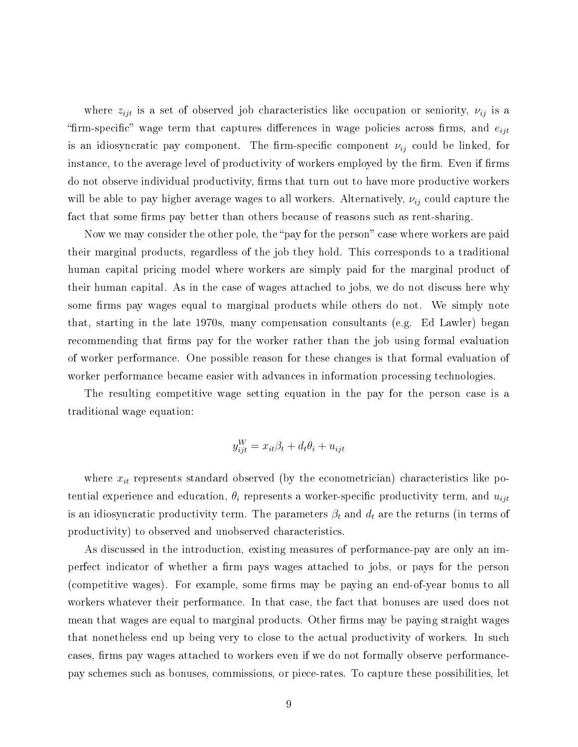where  $z_{ijt}$  is a set of observed job characteristics like occupation or seniority,  $\nu_{ij}$  is a "firm-specific" wage term that captures differences in wage policies across firms, and  $e_{ijt}$ is an idiosyncratic pay component. The firm-specific component  $\nu_{ij}$  could be linked, for instance, to the average level of productivity of workers employed by the firm. Even if firms do not observe individual productivity, firms that turn out to have more productive workers will be able to pay higher average wages to all workers. Alternatively,  $\nu_{ij}$  could capture the fact that some firms pay better than others because of reasons such as rent-sharing.

Now we may consider the other pole, the "pay for the person" case where workers are paid their marginal products, regardless of the job they hold. This corresponds to a traditional human capital pricing model where workers are simply paid for the marginal product of their human capital. As in the case of wages attached to jobs, we do not discuss here why some firms pay wages equal to marginal products while others do not. We simply note that, starting in the late 1970s, many compensation consultants (e.g. Ed Lawler) began recommending that firms pay for the worker rather than the job using formal evaluation of worker performance. One possible reason for these changes is that formal evaluation of worker performance became easier with advances in information processing technologies.

The resulting competitive wage setting equation in the pay for the person case is a traditional wage equation:

$$
y_{ijt}^W = x_{it}\beta_t + d_t\theta_i + u_{ijt}
$$

where  $x_{it}$  represents standard observed (by the econometrician) characteristics like potential experience and education,  $\theta_i$  represents a worker-specific productivity term, and  $u_{ijt}$ is an idiosyncratic productivity term. The parameters  $\beta_t$  and  $d_t$  are the returns (in terms of productivity) to observed and unobserved characteristics.

As discussed in the introduction, existing measures of performance-pay are only an imperfect indicator of whether a firm pays wages attached to jobs, or pays for the person (competitive wages). For example, some firms may be paying an end-of-year bonus to all workers whatever their performance. In that case, the fact that bonuses are used does not mean that wages are equal to marginal products. Other firms may be paying straight wages that nonetheless end up being very to close to the actual productivity of workers. In such cases, firms pay wages attached to workers even if we do not formally observe performancepay schemes such as bonuses, commissions, or piece-rates. To capture these possibilities, let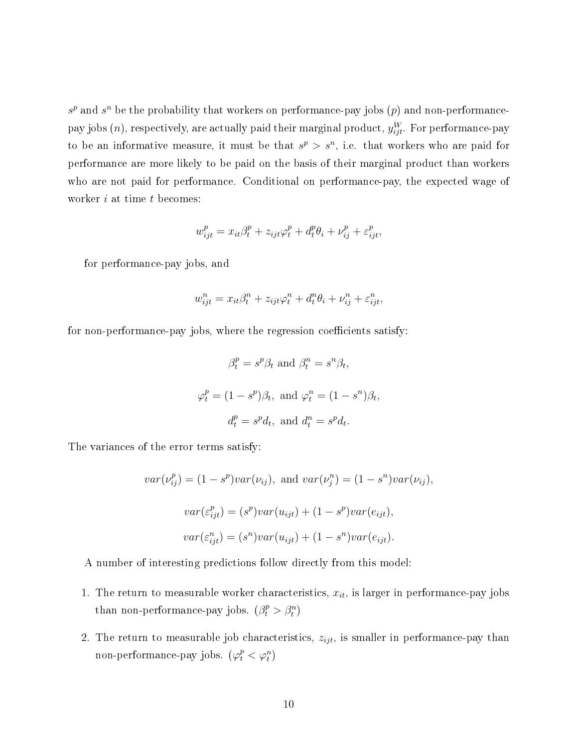$s^p$  and  $s^n$  be the probability that workers on performance-pay jobs  $(p)$  and non-performancepay jobs  $(n)$ , respectively, are actually paid their marginal product,  $y_{ijt}^W$ . For performance-pay to be an informative measure, it must be that  $s^p > s^n$ , i.e. that workers who are paid for performance are more likely to be paid on the basis of their marginal product than workers who are not paid for performance. Conditional on performance-pay, the expected wage of worker  $i$  at time  $t$  becomes:

$$
w_{ijt}^p = x_{it}\beta_t^p + z_{ijt}\varphi_t^p + d_t^p\theta_i + \nu_{ij}^p + \varepsilon_{ijt}^p,
$$

for performance-pay jobs, and

$$
w_{ijt}^{n} = x_{it}\beta_t^n + z_{ijt}\varphi_t^n + d_t^n\theta_i + \nu_{ij}^n + \varepsilon_{ijt}^n,
$$

for non-performance-pay jobs, where the regression coefficients satisfy:

$$
\beta_t^p = s^p \beta_t \text{ and } \beta_t^n = s^n \beta_t,
$$
  

$$
\varphi_t^p = (1 - s^p)\beta_t, \text{ and } \varphi_t^n = (1 - s^n)\beta_t,
$$
  

$$
d_t^p = s^p d_t, \text{ and } d_t^n = s^p d_t.
$$

The variances of the error terms satisfy:

$$
var(\nu_{ij}^p) = (1 - s^p)var(\nu_{ij}), \text{ and } var(\nu_{j}^n) = (1 - s^n)var(\nu_{ij}),
$$
  

$$
var(\varepsilon_{ijt}^p) = (s^p)var(u_{ijt}) + (1 - s^p)var(e_{ijt}),
$$
  

$$
var(\varepsilon_{ijt}^n) = (s^n)var(u_{ijt}) + (1 - s^n)var(e_{ijt}).
$$

A number of interesting predictions follow directly from this model:

- 1. The return to measurable worker characteristics,  $x_{it}$ , is larger in performance-pay jobs than non-performance-pay jobs.  $(\beta_t^p > \beta_t^n)$
- 2. The return to measurable job characteristics,  $z_{ijt}$ , is smaller in performance-pay than non-performance-pay jobs.  $(\varphi_t^p < \varphi_t^n)$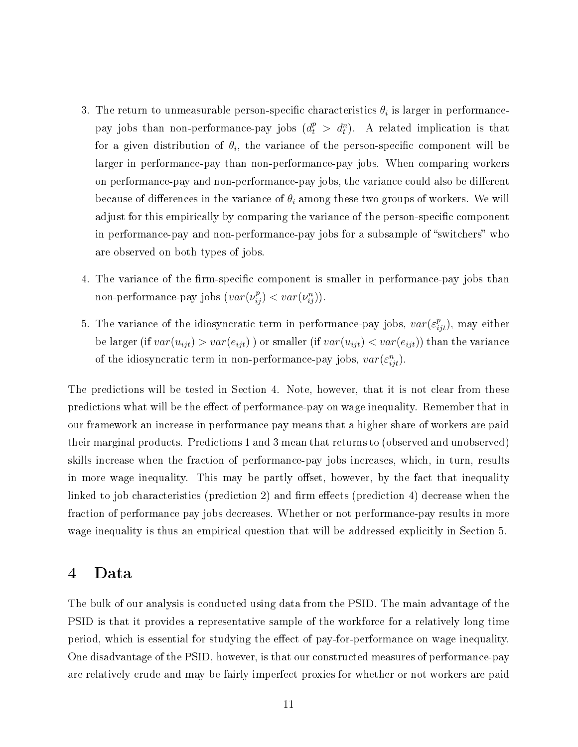- 3. The return to unmeasurable person-specific characteristics  $\theta_i$  is larger in performancepay jobs than non-performance-pay jobs  $(d_t^p > d_t^n)$ . A related implication is that for a given distribution of  $\theta_i$ , the variance of the person-specific component will be larger in performance-pay than non-performance-pay jobs. When comparing workers on performance-pay and non-performance-pay jobs, the variance could also be different because of differences in the variance of  $\theta_i$  among these two groups of workers. We will adjust for this empirically by comparing the variance of the person-specific component in performance-pay and non-performance-pay jobs for a subsample of "switchers" who are observed on both types of jobs.
- 4. The variance of the firm-specific component is smaller in performance-pay jobs than non-performance-pay jobs  $(var(\nu_{ij}^p) < var(\nu_{ij}^n))$ .
- 5. The variance of the idiosyncratic term in performance-pay jobs,  $var(\varepsilon_{ijt}^p)$ , may either be larger (if  $var(u_{ijt}) > var(e_{ijt})$ ) or smaller (if  $var(u_{ijt}) < var(e_{ijt})$ ) than the variance of the idiosyncratic term in non-performance-pay jobs,  $var(\varepsilon_{ijt}^n)$ .

The predictions will be tested in Section 4. Note, however, that it is not clear from these predictions what will be the effect of performance-pay on wage inequality. Remember that in our framework an increase in performance pay means that a higher share of workers are paid their marginal products. Predictions 1 and 3 mean that returns to (observed and unobserved) skills increase when the fraction of performance-pay jobs increases, which, in turn, results in more wage inequality. This may be partly offset, however, by the fact that inequality linked to job characteristics (prediction 2) and firm effects (prediction 4) decrease when the fraction of performance pay jobs decreases. Whether or not performance-pay results in more wage inequality is thus an empirical question that will be addressed explicitly in Section 5.

#### 4 Data

The bulk of our analysis is conducted using data from the PSID. The main advantage of the PSID is that it provides a representative sample of the workforce for a relatively long time period, which is essential for studying the effect of pay-for-performance on wage inequality. One disadvantage of the PSID, however, is that our constructed measures of performance-pay are relatively crude and may be fairly imperfect proxies for whether or not workers are paid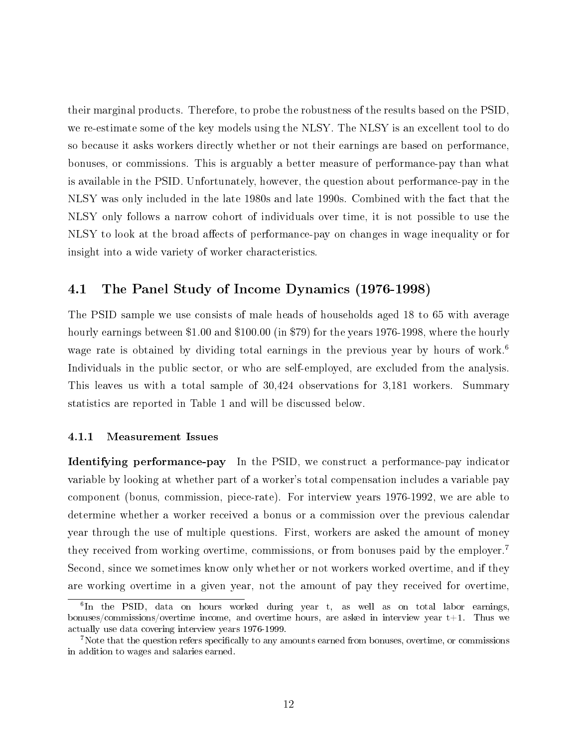their marginal products. Therefore, to probe the robustness of the results based on the PSID, we re-estimate some of the key models using the NLSY. The NLSY is an excellent tool to do so because it asks workers directly whether or not their earnings are based on performance, bonuses, or commissions. This is arguably a better measure of performance-pay than what is available in the PSID. Unfortunately, however, the question about performance-pay in the NLSY was only included in the late 1980s and late 1990s. Combined with the fact that the NLSY only follows a narrow cohort of individuals over time, it is not possible to use the NLSY to look at the broad affects of performance-pay on changes in wage inequality or for insight into a wide variety of worker characteristics.

#### 4.1 The Panel Study of Income Dynamics (1976-1998)

The PSID sample we use consists of male heads of households aged 18 to 65 with average hourly earnings between \$1.00 and \$100.00 (in \$79) for the years 1976-1998, where the hourly wage rate is obtained by dividing total earnings in the previous year by hours of work.<sup>6</sup> Individuals in the public sector, or who are self-employed, are excluded from the analysis. This leaves us with a total sample of 30,424 observations for 3,181 workers. Summary statistics are reported in Table 1 and will be discussed below.

#### 4.1.1 Measurement Issues

Identifying performance-pay In the PSID, we construct a performance-pay indicator variable by looking at whether part of a worker's total compensation includes a variable pay component (bonus, commission, piece-rate). For interview years 1976-1992, we are able to determine whether a worker received a bonus or a commission over the previous calendar year through the use of multiple questions. First, workers are asked the amount of money they received from working overtime, commissions, or from bonuses paid by the employer.<sup>7</sup> Second, since we sometimes know only whether or not workers worked overtime, and if they are working overtime in a given year, not the amount of pay they received for overtime,

<sup>&</sup>lt;sup>6</sup>In the PSID, data on hours worked during year t, as well as on total labor earnings, bonuses/commissions/overtime income, and overtime hours, are asked in interview year  $t+1$ . Thus we actually use data covering interview years 1976-1999.

<sup>&</sup>lt;sup>7</sup>Note that the question refers specifically to any amounts earned from bonuses, overtime, or commissions in addition to wages and salaries earned.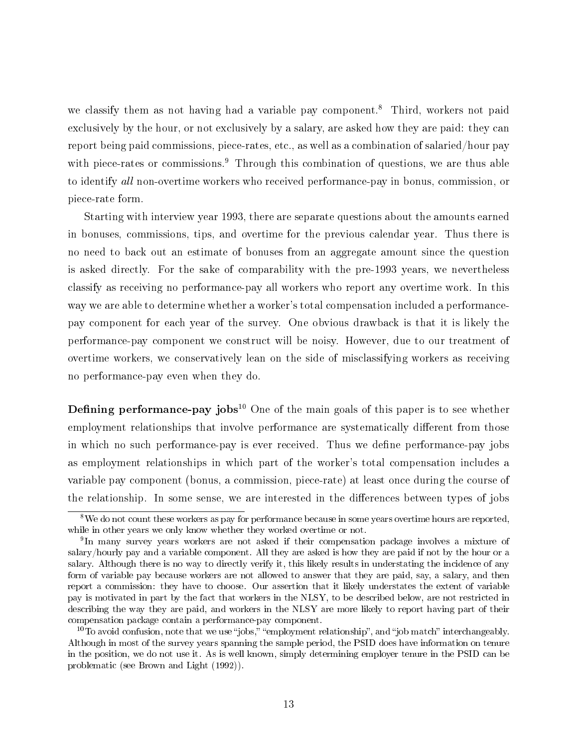we classify them as not having had a variable pay component.<sup>8</sup> Third, workers not paid exclusively by the hour, or not exclusively by a salary, are asked how they are paid: they can report being paid commissions, piece-rates, etc., as well as a combination of salaried/hour pay with piece-rates or commissions.<sup>9</sup> Through this combination of questions, we are thus able to identify all non-overtime workers who received performance-pay in bonus, commission, or piece-rate form.

Starting with interview year 1993, there are separate questions about the amounts earned in bonuses, commissions, tips, and overtime for the previous calendar year. Thus there is no need to back out an estimate of bonuses from an aggregate amount since the question is asked directly. For the sake of comparability with the pre-1993 years, we nevertheless classify as receiving no performance-pay all workers who report any overtime work. In this way we are able to determine whether a worker's total compensation included a performancepay component for each year of the survey. One obvious drawback is that it is likely the performance-pay component we construct will be noisy. However, due to our treatment of overtime workers, we conservatively lean on the side of misclassifying workers as receiving no performance-pay even when they do.

**Defining performance-pay jobs**<sup>10</sup> One of the main goals of this paper is to see whether employment relationships that involve performance are systematically different from those in which no such performance-pay is ever received. Thus we define performance-pay jobs as employment relationships in which part of the worker's total compensation includes a variable pay component (bonus, a commission, piece-rate) at least once during the course of the relationship. In some sense, we are interested in the differences between types of jobs

<sup>&</sup>lt;sup>8</sup>We do not count these workers as pay for performance because in some years overtime hours are reported, while in other years we only know whether they worked overtime or not.

<sup>&</sup>lt;sup>9</sup>In many survey years workers are not asked if their compensation package involves a mixture of salary/hourly pay and a variable component. All they are asked is how they are paid if not by the hour or a salary. Although there is no way to directly verify it, this likely results in understating the incidence of any form of variable pay because workers are not allowed to answer that they are paid, say, a salary, and then report a commission: they have to choose. Our assertion that it likely understates the extent of variable pay is motivated in part by the fact that workers in the NLSY, to be described below, are not restricted in describing the way they are paid, and workers in the NLSY are more likely to report having part of their compensation package contain a performance-pay component.

<sup>&</sup>lt;sup>10</sup>To avoid confusion, note that we use "jobs," "employment relationship", and "job match" interchangeably. Although in most of the survey years spanning the sample period, the PSID does have information on tenure in the position, we do not use it. As is well known, simply determining employer tenure in the PSID can be problematic (see Brown and Light (1992)).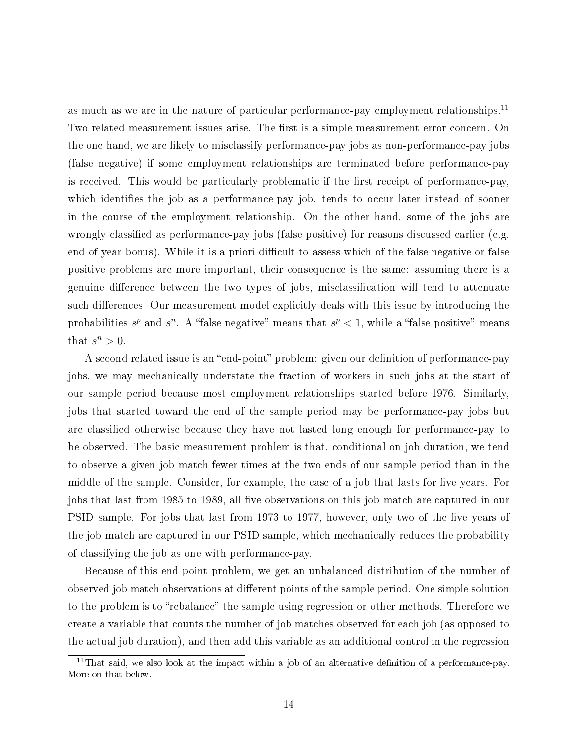as much as we are in the nature of particular performance-pay employment relationships.<sup>11</sup> Two related measurement issues arise. The first is a simple measurement error concern. On the one hand, we are likely to misclassify performance-pay jobs as non-performance-pay jobs (false negative) if some employment relationships are terminated before performance-pay is received. This would be particularly problematic if the first receipt of performance-pay, which identifies the job as a performance-pay job, tends to occur later instead of sooner in the course of the employment relationship. On the other hand, some of the jobs are wrongly classified as performance-pay jobs (false positive) for reasons discussed earlier (e.g. end-of-year bonus). While it is a priori difficult to assess which of the false negative or false positive problems are more important, their consequence is the same: assuming there is a genuine difference between the two types of jobs, misclassification will tend to attenuate such differences. Our measurement model explicitly deals with this issue by introducing the probabilities  $s^p$  and  $s^n$ . A "false negative" means that  $s^p < 1$ , while a "false positive" means that  $s^n > 0$ .

A second related issue is an "end-point" problem: given our definition of performance-pay jobs, we may mechanically understate the fraction of workers in such jobs at the start of our sample period because most employment relationships started before 1976. Similarly, jobs that started toward the end of the sample period may be performance-pay jobs but are classified otherwise because they have not lasted long enough for performance-pay to be observed. The basic measurement problem is that, conditional on job duration, we tend to observe a given job match fewer times at the two ends of our sample period than in the middle of the sample. Consider, for example, the case of a job that lasts for five years. For jobs that last from 1985 to 1989, all five observations on this job match are captured in our PSID sample. For jobs that last from 1973 to 1977, however, only two of the five years of the job match are captured in our PSID sample, which mechanically reduces the probability of classifying the job as one with performance-pay.

Because of this end-point problem, we get an unbalanced distribution of the number of observed job match observations at different points of the sample period. One simple solution to the problem is to "rebalance" the sample using regression or other methods. Therefore we create a variable that counts the number of job matches observed for each job (as opposed to the actual job duration), and then add this variable as an additional control in the regression

 $11$ That said, we also look at the impact within a job of an alternative definition of a performance-pay. More on that below.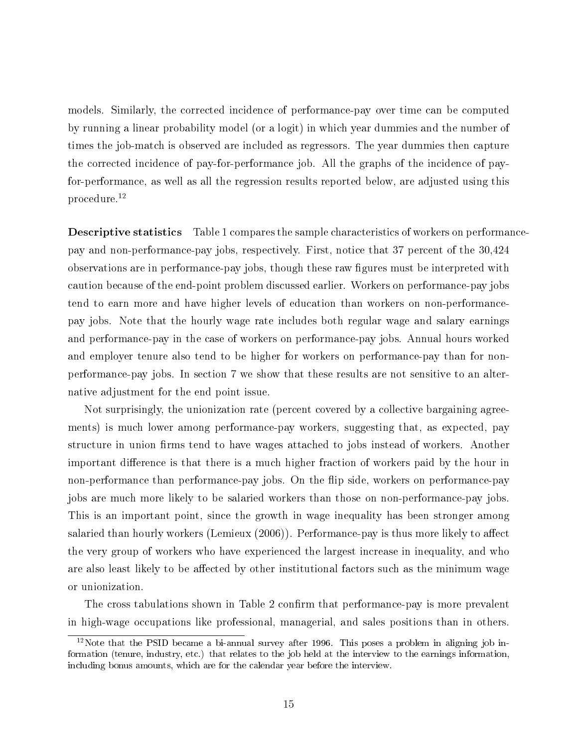models. Similarly, the corrected incidence of performance-pay over time can be computed by running a linear probability model (or a logit) in which year dummies and the number of times the job-match is observed are included as regressors. The year dummies then capture the corrected incidence of pay-for-performance job. All the graphs of the incidence of payfor-performance, as well as all the regression results reported below, are adjusted using this procedure.<sup>12</sup>

Descriptive statistics Table 1 compares the sample characteristics of workers on performancepay and non-performance-pay jobs, respectively. First, notice that 37 percent of the 30,424 observations are in performance-pay jobs, though these raw figures must be interpreted with caution because of the end-point problem discussed earlier. Workers on performance-pay jobs tend to earn more and have higher levels of education than workers on non-performancepay jobs. Note that the hourly wage rate includes both regular wage and salary earnings and performance-pay in the case of workers on performance-pay jobs. Annual hours worked and employer tenure also tend to be higher for workers on performance-pay than for nonperformance-pay jobs. In section 7 we show that these results are not sensitive to an alternative adjustment for the end point issue.

Not surprisingly, the unionization rate (percent covered by a collective bargaining agreements) is much lower among performance-pay workers, suggesting that, as expected, pay structure in union firms tend to have wages attached to jobs instead of workers. Another important difference is that there is a much higher fraction of workers paid by the hour in non-performance than performance-pay jobs. On the flip side, workers on performance-pay jobs are much more likely to be salaried workers than those on non-performance-pay jobs. This is an important point, since the growth in wage inequality has been stronger among salaried than hourly workers (Lemieux  $(2006)$ ). Performance-pay is thus more likely to affect the very group of workers who have experienced the largest increase in inequality, and who are also least likely to be affected by other institutional factors such as the minimum wage or unionization.

The cross tabulations shown in Table 2 confirm that performance-pay is more prevalent in high-wage occupations like professional, managerial, and sales positions than in others.

<sup>&</sup>lt;sup>12</sup>Note that the PSID became a bi-annual survey after 1996. This poses a problem in aligning job information (tenure, industry, etc.) that relates to the job held at the interview to the earnings information, including bonus amounts, which are for the calendar year before the interview.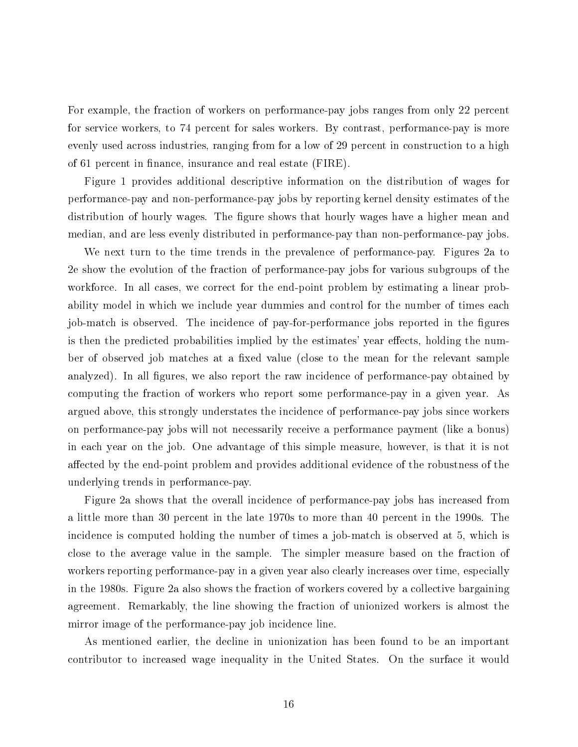For example, the fraction of workers on performance-pay jobs ranges from only 22 percent for service workers, to 74 percent for sales workers. By contrast, performance-pay is more evenly used across industries, ranging from for a low of 29 percent in construction to a high of 61 percent in finance, insurance and real estate (FIRE).

Figure 1 provides additional descriptive information on the distribution of wages for performance-pay and non-performance-pay jobs by reporting kernel density estimates of the distribution of hourly wages. The figure shows that hourly wages have a higher mean and median, and are less evenly distributed in performance-pay than non-performance-pay jobs.

We next turn to the time trends in the prevalence of performance-pay. Figures 2a to 2e show the evolution of the fraction of performance-pay jobs for various subgroups of the workforce. In all cases, we correct for the end-point problem by estimating a linear probability model in which we include year dummies and control for the number of times each job-match is observed. The incidence of pay-for-performance jobs reported in the figures is then the predicted probabilities implied by the estimates' year effects, holding the number of observed job matches at a fixed value (close to the mean for the relevant sample analyzed). In all figures, we also report the raw incidence of performance-pay obtained by computing the fraction of workers who report some performance-pay in a given year. As argued above, this strongly understates the incidence of performance-pay jobs since workers on performance-pay jobs will not necessarily receive a performance payment (like a bonus) in each year on the job. One advantage of this simple measure, however, is that it is not affected by the end-point problem and provides additional evidence of the robustness of the underlying trends in performance-pay.

Figure 2a shows that the overall incidence of performance-pay jobs has increased from a little more than 30 percent in the late 1970s to more than 40 percent in the 1990s. The incidence is computed holding the number of times a job-match is observed at 5, which is close to the average value in the sample. The simpler measure based on the fraction of workers reporting performance-pay in a given year also clearly increases over time, especially in the 1980s. Figure 2a also shows the fraction of workers covered by a collective bargaining agreement. Remarkably, the line showing the fraction of unionized workers is almost the mirror image of the performance-pay job incidence line.

As mentioned earlier, the decline in unionization has been found to be an important contributor to increased wage inequality in the United States. On the surface it would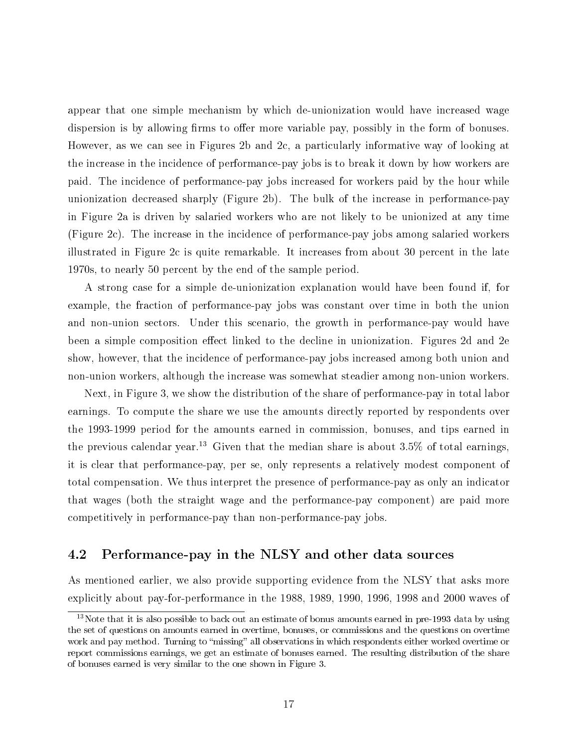appear that one simple mechanism by which de-unionization would have increased wage dispersion is by allowing firms to offer more variable pay, possibly in the form of bonuses. However, as we can see in Figures 2b and 2c, a particularly informative way of looking at the increase in the incidence of performance-pay jobs is to break it down by how workers are paid. The incidence of performance-pay jobs increased for workers paid by the hour while unionization decreased sharply (Figure 2b). The bulk of the increase in performance-pay in Figure 2a is driven by salaried workers who are not likely to be unionized at any time (Figure 2c). The increase in the incidence of performance-pay jobs among salaried workers illustrated in Figure 2c is quite remarkable. It increases from about 30 percent in the late 1970s, to nearly 50 percent by the end of the sample period.

A strong case for a simple de-unionization explanation would have been found if, for example, the fraction of performance-pay jobs was constant over time in both the union and non-union sectors. Under this scenario, the growth in performance-pay would have been a simple composition effect linked to the decline in unionization. Figures 2d and 2e show, however, that the incidence of performance-pay jobs increased among both union and non-union workers, although the increase was somewhat steadier among non-union workers.

Next, in Figure 3, we show the distribution of the share of performance-pay in total labor earnings. To compute the share we use the amounts directly reported by respondents over the 1993-1999 period for the amounts earned in commission, bonuses, and tips earned in the previous calendar year.<sup>13</sup> Given that the median share is about 3.5% of total earnings, it is clear that performance-pay, per se, only represents a relatively modest component of total compensation. We thus interpret the presence of performance-pay as only an indicator that wages (both the straight wage and the performance-pay component) are paid more competitively in performance-pay than non-performance-pay jobs.

#### 4.2 Performance-pay in the NLSY and other data sources

As mentioned earlier, we also provide supporting evidence from the NLSY that asks more explicitly about pay-for-performance in the 1988, 1989, 1990, 1996, 1998 and 2000 waves of

 $13$ Note that it is also possible to back out an estimate of bonus amounts earned in pre-1993 data by using the set of questions on amounts earned in overtime, bonuses, or commissions and the questions on overtime work and pay method. Turning to "missing" all observations in which respondents either worked overtime or report commissions earnings, we get an estimate of bonuses earned. The resulting distribution of the share of bonuses earned is very similar to the one shown in Figure 3.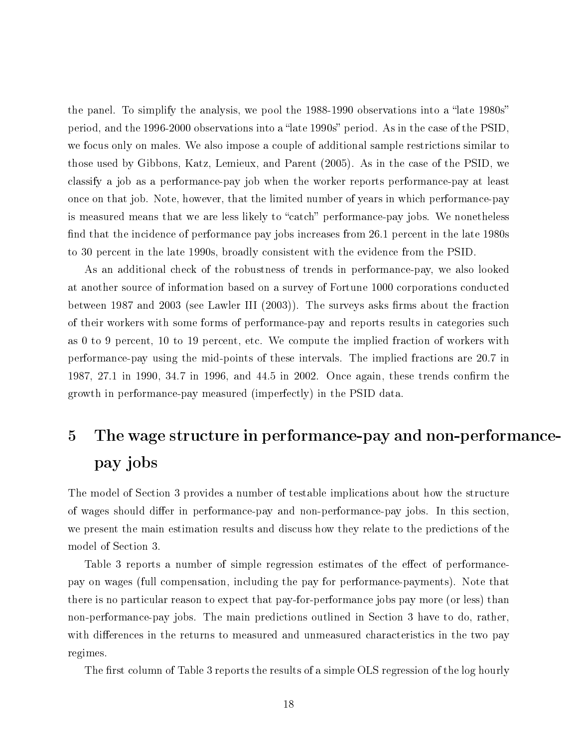the panel. To simplify the analysis, we pool the 1988-1990 observations into a "late 1980s" period, and the 1996-2000 observations into a "late 1990s" period. As in the case of the PSID. we focus only on males. We also impose a couple of additional sample restrictions similar to those used by Gibbons, Katz, Lemieux, and Parent (2005). As in the case of the PSID, we classify a job as a performance-pay job when the worker reports performance-pay at least once on that job. Note, however, that the limited number of years in which performance-pay is measured means that we are less likely to "catch" performance-pay jobs. We nonetheless find that the incidence of performance pay jobs increases from 26.1 percent in the late 1980s to 30 percent in the late 1990s, broadly consistent with the evidence from the PSID.

As an additional check of the robustness of trends in performance-pay, we also looked at another source of information based on a survey of Fortune 1000 corporations conducted between 1987 and 2003 (see Lawler III  $(2003)$ ). The surveys asks firms about the fraction of their workers with some forms of performance-pay and reports results in categories such as 0 to 9 percent, 10 to 19 percent, etc. We compute the implied fraction of workers with performance-pay using the mid-points of these intervals. The implied fractions are 20.7 in 1987, 27.1 in 1990, 34.7 in 1996, and 44.5 in 2002. Once again, these trends confirm the growth in performance-pay measured (imperfectly) in the PSID data.

# 5 The wage structure in performance-pay and non-performancepay jobs

The model of Section 3 provides a number of testable implications about how the structure of wages should differ in performance-pay and non-performance-pay jobs. In this section, we present the main estimation results and discuss how they relate to the predictions of the model of Section 3.

Table 3 reports a number of simple regression estimates of the effect of performancepay on wages (full compensation, including the pay for performance-payments). Note that there is no particular reason to expect that pay-for-performance jobs pay more (or less) than non-performance-pay jobs. The main predictions outlined in Section 3 have to do, rather, with differences in the returns to measured and unmeasured characteristics in the two pay regimes.

The first column of Table 3 reports the results of a simple OLS regression of the log hourly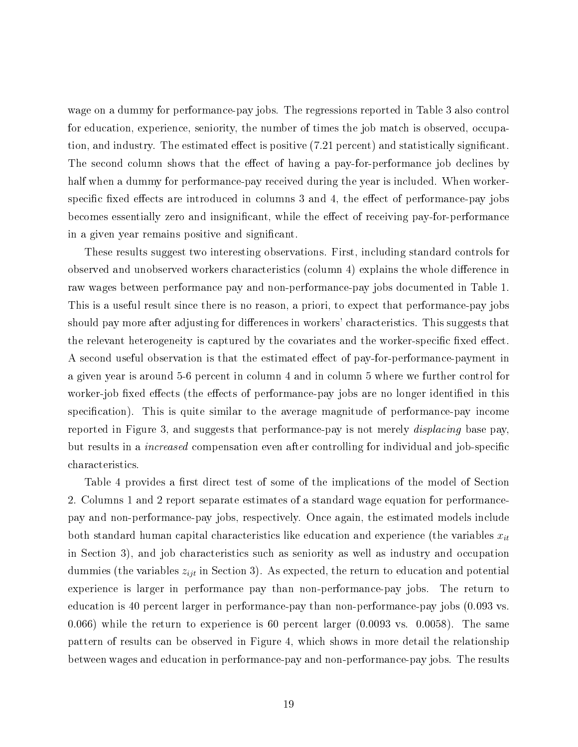wage on a dummy for performance-pay jobs. The regressions reported in Table 3 also control for education, experience, seniority, the number of times the job match is observed, occupation, and industry. The estimated effect is positive (7.21 percent) and statistically significant. The second column shows that the effect of having a pay-for-performance job declines by half when a dummy for performance-pay received during the year is included. When workerspecific fixed effects are introduced in columns  $3$  and  $4$ , the effect of performance-pay jobs becomes essentially zero and insignificant, while the effect of receiving pay-for-performance in a given year remains positive and significant.

These results suggest two interesting observations. First, including standard controls for observed and unobserved workers characteristics (column 4) explains the whole difference in raw wages between performance pay and non-performance-pay jobs documented in Table 1. This is a useful result since there is no reason, a priori, to expect that performance-pay jobs should pay more after adjusting for differences in workers' characteristics. This suggests that the relevant heterogeneity is captured by the covariates and the worker-specific fixed effect. A second useful observation is that the estimated effect of pay-for-performance-payment in a given year is around 5-6 percent in column 4 and in column 5 where we further control for worker-job fixed effects (the effects of performance-pay jobs are no longer identified in this specification). This is quite similar to the average magnitude of performance-pay income reported in Figure 3, and suggests that performance-pay is not merely displacing base pay, but results in a *increased* compensation even after controlling for individual and job-specific characteristics.

Table 4 provides a first direct test of some of the implications of the model of Section 2. Columns 1 and 2 report separate estimates of a standard wage equation for performancepay and non-performance-pay jobs, respectively. Once again, the estimated models include both standard human capital characteristics like education and experience (the variables  $x_{it}$ in Section 3), and job characteristics such as seniority as well as industry and occupation dummies (the variables  $z_{ijt}$  in Section 3). As expected, the return to education and potential experience is larger in performance pay than non-performance-pay jobs. The return to education is 40 percent larger in performance-pay than non-performance-pay jobs (0.093 vs. 0.066) while the return to experience is 60 percent larger (0.0093 vs. 0.0058). The same pattern of results can be observed in Figure 4, which shows in more detail the relationship between wages and education in performance-pay and non-performance-pay jobs. The results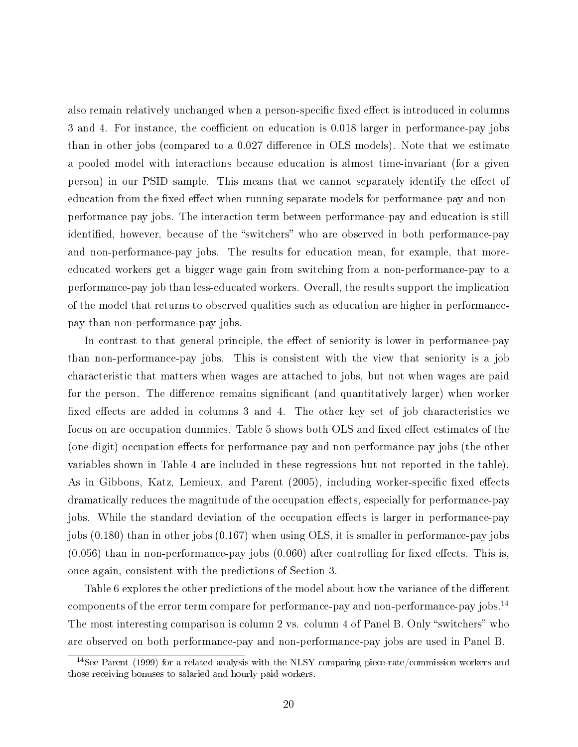also remain relatively unchanged when a person-specific fixed effect is introduced in columns 3 and 4. For instance, the coefficient on education is 0.018 larger in performance-pay jobs than in other jobs (compared to a  $0.027$  difference in OLS models). Note that we estimate a pooled model with interactions because education is almost time-invariant (for a given person) in our PSID sample. This means that we cannot separately identify the effect of education from the fixed effect when running separate models for performance-pay and nonperformance pay jobs. The interaction term between performance-pay and education is still identified, however, because of the "switchers" who are observed in both performance-pay and non-performance-pay jobs. The results for education mean, for example, that moreeducated workers get a bigger wage gain from switching from a non-performance-pay to a performance-pay job than less-educated workers. Overall, the results support the implication of the model that returns to observed qualities such as education are higher in performancepay than non-performance-pay jobs.

In contrast to that general principle, the effect of seniority is lower in performance-pay than non-performance-pay jobs. This is consistent with the view that seniority is a job characteristic that matters when wages are attached to jobs, but not when wages are paid for the person. The difference remains significant (and quantitatively larger) when worker fixed effects are added in columns 3 and 4. The other key set of job characteristics we focus on are occupation dummies. Table 5 shows both OLS and fixed effect estimates of the (one-digit) occupation effects for performance-pay and non-performance-pay jobs (the other variables shown in Table 4 are included in these regressions but not reported in the table). As in Gibbons, Katz, Lemieux, and Parent (2005), including worker-specific fixed effects dramatically reduces the magnitude of the occupation effects, especially for performance-pay jobs. While the standard deviation of the occupation effects is larger in performance-pay jobs (0.180) than in other jobs (0.167) when using OLS, it is smaller in performance-pay jobs  $(0.056)$  than in non-performance-pay jobs  $(0.060)$  after controlling for fixed effects. This is, once again, consistent with the predictions of Section 3.

Table 6 explores the other predictions of the model about how the variance of the different components of the error term compare for performance-pay and non-performance-pay jobs.<sup>14</sup> The most interesting comparison is column 2 vs. column 4 of Panel B. Only "switchers" who are observed on both performance-pay and non-performance-pay jobs are used in Panel B.

 $14$ See Parent (1999) for a related analysis with the NLSY comparing piece-rate/commission workers and those receiving bonuses to salaried and hourly paid workers.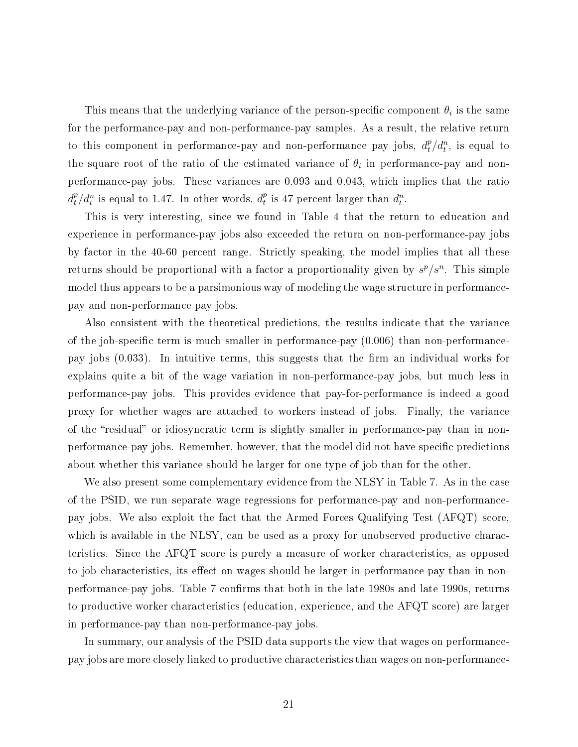This means that the underlying variance of the person-specific component  $\theta_i$  is the same for the performance-pay and non-performance-pay samples. As a result, the relative return to this component in performance-pay and non-performance pay jobs,  $d_t^p / d_t^n$ , is equal to the square root of the ratio of the estimated variance of  $\theta_i$  in performance-pay and nonperformance-pay jobs. These variances are 0.093 and 0.043, which implies that the ratio  $d_t^p/d_t^n$  is equal to 1.47. In other words,  $d_t^p$  $t_t^p$  is 47 percent larger than  $d_t^n$ .

This is very interesting, since we found in Table 4 that the return to education and experience in performance-pay jobs also exceeded the return on non-performance-pay jobs by factor in the 40-60 percent range. Strictly speaking, the model implies that all these returns should be proportional with a factor a proportionality given by  $s^p/s^n$ . This simple model thus appears to be a parsimonious way of modeling the wage structure in performancepay and non-performance pay jobs.

Also consistent with the theoretical predictions, the results indicate that the variance of the job-specific term is much smaller in performance-pay  $(0.006)$  than non-performancepay jobs  $(0.033)$ . In intuitive terms, this suggests that the firm an individual works for explains quite a bit of the wage variation in non-performance-pay jobs, but much less in performance-pay jobs. This provides evidence that pay-for-performance is indeed a good proxy for whether wages are attached to workers instead of jobs. Finally, the variance of the "residual" or idiosyncratic term is slightly smaller in performance-pay than in nonperformance-pay jobs. Remember, however, that the model did not have specific predictions about whether this variance should be larger for one type of job than for the other.

We also present some complementary evidence from the NLSY in Table 7. As in the case of the PSID, we run separate wage regressions for performance-pay and non-performancepay jobs. We also exploit the fact that the Armed Forces Qualifying Test (AFQT) score, which is available in the NLSY, can be used as a proxy for unobserved productive characteristics. Since the AFQT score is purely a measure of worker characteristics, as opposed to job characteristics, its effect on wages should be larger in performance-pay than in nonperformance-pay jobs. Table 7 confirms that both in the late 1980s and late 1990s, returns to productive worker characteristics (education, experience, and the AFQT score) are larger in performance-pay than non-performance-pay jobs.

In summary, our analysis of the PSID data supports the view that wages on performancepay jobs are more closely linked to productive characteristics than wages on non-performance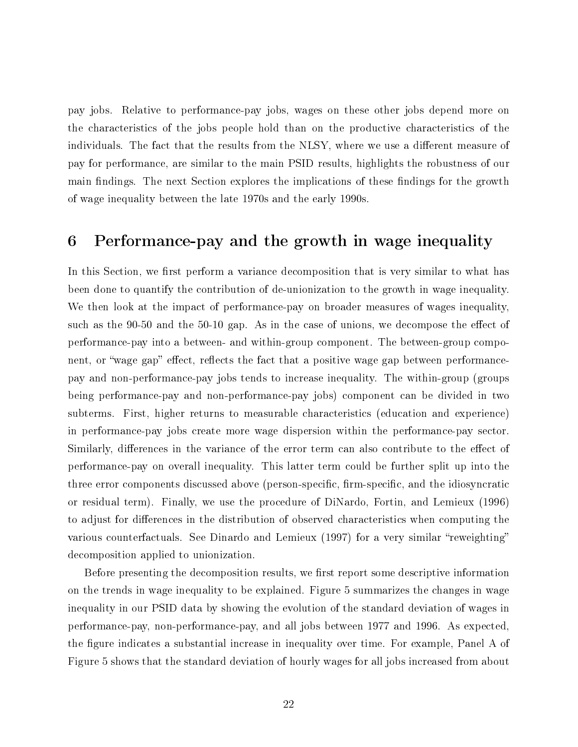pay jobs. Relative to performance-pay jobs, wages on these other jobs depend more on the characteristics of the jobs people hold than on the productive characteristics of the individuals. The fact that the results from the NLSY, where we use a different measure of pay for performance, are similar to the main PSID results, highlights the robustness of our main findings. The next Section explores the implications of these findings for the growth of wage inequality between the late 1970s and the early 1990s.

## 6 Performance-pay and the growth in wage inequality

In this Section, we first perform a variance decomposition that is very similar to what has been done to quantify the contribution of de-unionization to the growth in wage inequality. We then look at the impact of performance-pay on broader measures of wages inequality, such as the 90-50 and the 50-10 gap. As in the case of unions, we decompose the effect of performance-pay into a between- and within-group component. The between-group component, or "wage gap" effect, reflects the fact that a positive wage gap between performancepay and non-performance-pay jobs tends to increase inequality. The within-group (groups being performance-pay and non-performance-pay jobs) component can be divided in two subterms. First, higher returns to measurable characteristics (education and experience) in performance-pay jobs create more wage dispersion within the performance-pay sector. Similarly, differences in the variance of the error term can also contribute to the effect of performance-pay on overall inequality. This latter term could be further split up into the three error components discussed above (person-specific, firm-specific, and the idiosyncratic or residual term). Finally, we use the procedure of DiNardo, Fortin, and Lemieux (1996) to adjust for differences in the distribution of observed characteristics when computing the various counterfactuals. See Dinardo and Lemieux (1997) for a very similar "reweighting" decomposition applied to unionization.

Before presenting the decomposition results, we first report some descriptive information on the trends in wage inequality to be explained. Figure 5 summarizes the changes in wage inequality in our PSID data by showing the evolution of the standard deviation of wages in performance-pay, non-performance-pay, and all jobs between 1977 and 1996. As expected, the figure indicates a substantial increase in inequality over time. For example, Panel A of Figure 5 shows that the standard deviation of hourly wages for all jobs increased from about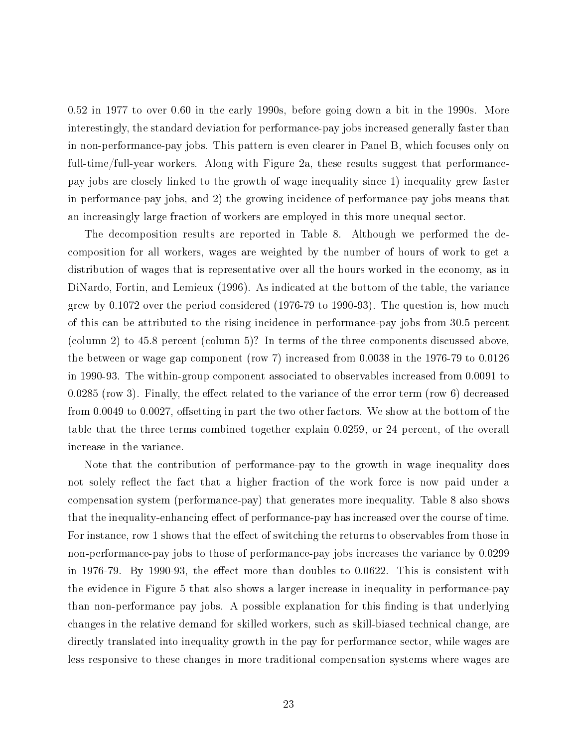0.52 in 1977 to over 0.60 in the early 1990s, before going down a bit in the 1990s. More interestingly, the standard deviation for performance-pay jobs increased generally faster than in non-performance-pay jobs. This pattern is even clearer in Panel B, which focuses only on full-time/full-year workers. Along with Figure 2a, these results suggest that performancepay jobs are closely linked to the growth of wage inequality since 1) inequality grew faster in performance-pay jobs, and 2) the growing incidence of performance-pay jobs means that an increasingly large fraction of workers are employed in this more unequal sector.

The decomposition results are reported in Table 8. Although we performed the decomposition for all workers, wages are weighted by the number of hours of work to get a distribution of wages that is representative over all the hours worked in the economy, as in DiNardo, Fortin, and Lemieux (1996). As indicated at the bottom of the table, the variance grew by 0.1072 over the period considered (1976-79 to 1990-93). The question is, how much of this can be attributed to the rising incidence in performance-pay jobs from 30.5 percent (column 2) to 45.8 percent (column 5)? In terms of the three components discussed above, the between or wage gap component (row 7) increased from 0.0038 in the 1976-79 to 0.0126 in 1990-93. The within-group component associated to observables increased from 0.0091 to  $0.0285$  (row 3). Finally, the effect related to the variance of the error term (row 6) decreased from 0.0049 to 0.0027, offsetting in part the two other factors. We show at the bottom of the table that the three terms combined together explain 0.0259, or 24 percent, of the overall increase in the variance.

Note that the contribution of performance-pay to the growth in wage inequality does not solely reflect the fact that a higher fraction of the work force is now paid under a compensation system (performance-pay) that generates more inequality. Table 8 also shows that the inequality-enhancing effect of performance-pay has increased over the course of time. For instance, row 1 shows that the effect of switching the returns to observables from those in non-performance-pay jobs to those of performance-pay jobs increases the variance by 0.0299 in 1976-79. By 1990-93, the effect more than doubles to  $0.0622$ . This is consistent with the evidence in Figure 5 that also shows a larger increase in inequality in performance-pay than non-performance pay jobs. A possible explanation for this finding is that underlying changes in the relative demand for skilled workers, such as skill-biased technical change, are directly translated into inequality growth in the pay for performance sector, while wages are less responsive to these changes in more traditional compensation systems where wages are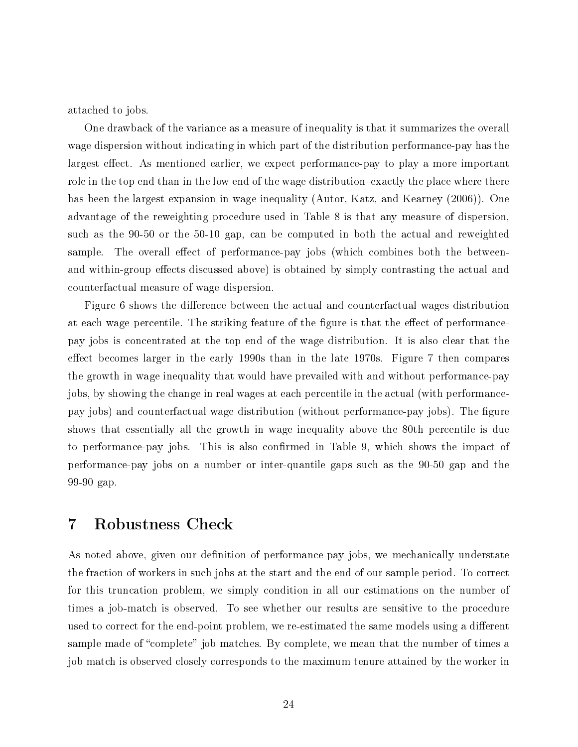attached to jobs.

One drawback of the variance as a measure of inequality is that it summarizes the overall wage dispersion without indicating in which part of the distribution performance-pay has the largest effect. As mentioned earlier, we expect performance-pay to play a more important role in the top end than in the low end of the wage distribution-exactly the place where there has been the largest expansion in wage inequality (Autor, Katz, and Kearney (2006)). One advantage of the reweighting procedure used in Table 8 is that any measure of dispersion, such as the 90-50 or the 50-10 gap, can be computed in both the actual and reweighted sample. The overall effect of performance-pay jobs (which combines both the betweenand within-group effects discussed above) is obtained by simply contrasting the actual and counterfactual measure of wage dispersion.

Figure 6 shows the difference between the actual and counterfactual wages distribution at each wage percentile. The striking feature of the figure is that the effect of performancepay jobs is concentrated at the top end of the wage distribution. It is also clear that the effect becomes larger in the early 1990s than in the late 1970s. Figure 7 then compares the growth in wage inequality that would have prevailed with and without performance-pay jobs, by showing the change in real wages at each percentile in the actual (with performancepay jobs) and counterfactual wage distribution (without performance-pay jobs). The figure shows that essentially all the growth in wage inequality above the 80th percentile is due to performance-pay jobs. This is also conrmed in Table 9, which shows the impact of performance-pay jobs on a number or inter-quantile gaps such as the 90-50 gap and the 99-90 gap.

## 7 Robustness Check

As noted above, given our definition of performance-pay jobs, we mechanically understate the fraction of workers in such jobs at the start and the end of our sample period. To correct for this truncation problem, we simply condition in all our estimations on the number of times a job-match is observed. To see whether our results are sensitive to the procedure used to correct for the end-point problem, we re-estimated the same models using a different sample made of "complete" job matches. By complete, we mean that the number of times a job match is observed closely corresponds to the maximum tenure attained by the worker in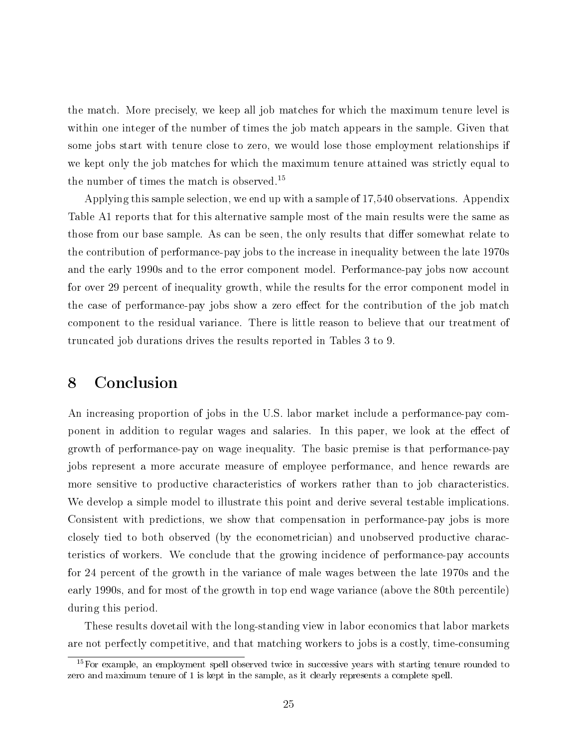the match. More precisely, we keep all job matches for which the maximum tenure level is within one integer of the number of times the job match appears in the sample. Given that some jobs start with tenure close to zero, we would lose those employment relationships if we kept only the job matches for which the maximum tenure attained was strictly equal to the number of times the match is observed.<sup>15</sup>

Applying this sample selection, we end up with a sample of 17,540 observations. Appendix Table A1 reports that for this alternative sample most of the main results were the same as those from our base sample. As can be seen, the only results that differ somewhat relate to the contribution of performance-pay jobs to the increase in inequality between the late 1970s and the early 1990s and to the error component model. Performance-pay jobs now account for over 29 percent of inequality growth, while the results for the error component model in the case of performance-pay jobs show a zero effect for the contribution of the job match component to the residual variance. There is little reason to believe that our treatment of truncated job durations drives the results reported in Tables 3 to 9.

## 8 Conclusion

An increasing proportion of jobs in the U.S. labor market include a performance-pay component in addition to regular wages and salaries. In this paper, we look at the effect of growth of performance-pay on wage inequality. The basic premise is that performance-pay jobs represent a more accurate measure of employee performance, and hence rewards are more sensitive to productive characteristics of workers rather than to job characteristics. We develop a simple model to illustrate this point and derive several testable implications. Consistent with predictions, we show that compensation in performance-pay jobs is more closely tied to both observed (by the econometrician) and unobserved productive characteristics of workers. We conclude that the growing incidence of performance-pay accounts for 24 percent of the growth in the variance of male wages between the late 1970s and the early 1990s, and for most of the growth in top end wage variance (above the 80th percentile) during this period.

These results dovetail with the long-standing view in labor economics that labor markets are not perfectly competitive, and that matching workers to jobs is a costly, time-consuming

 $15$ For example, an employment spell observed twice in successive years with starting tenure rounded to zero and maximum tenure of 1 is kept in the sample, as it clearly represents a complete spell.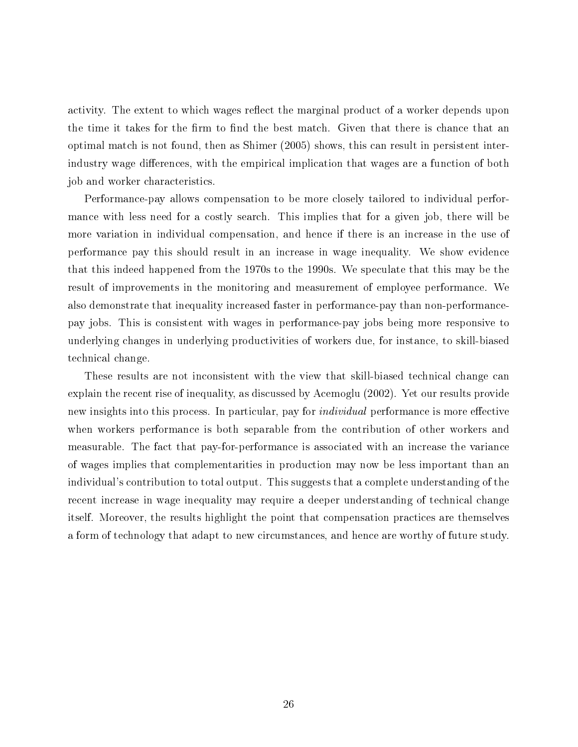activity. The extent to which wages reflect the marginal product of a worker depends upon the time it takes for the firm to find the best match. Given that there is chance that an optimal match is not found, then as Shimer (2005) shows, this can result in persistent interindustry wage differences, with the empirical implication that wages are a function of both job and worker characteristics.

Performance-pay allows compensation to be more closely tailored to individual performance with less need for a costly search. This implies that for a given job, there will be more variation in individual compensation, and hence if there is an increase in the use of performance pay this should result in an increase in wage inequality. We show evidence that this indeed happened from the 1970s to the 1990s. We speculate that this may be the result of improvements in the monitoring and measurement of employee performance. We also demonstrate that inequality increased faster in performance-pay than non-performancepay jobs. This is consistent with wages in performance-pay jobs being more responsive to underlying changes in underlying productivities of workers due, for instance, to skill-biased technical change.

These results are not inconsistent with the view that skill-biased technical change can explain the recent rise of inequality, as discussed by Acemoglu (2002). Yet our results provide new insights into this process. In particular, pay for *individual* performance is more effective when workers performance is both separable from the contribution of other workers and measurable. The fact that pay-for-performance is associated with an increase the variance of wages implies that complementarities in production may now be less important than an individual's contribution to total output. This suggests that a complete understanding of the recent increase in wage inequality may require a deeper understanding of technical change itself. Moreover, the results highlight the point that compensation practices are themselves a form of technology that adapt to new circumstances, and hence are worthy of future study.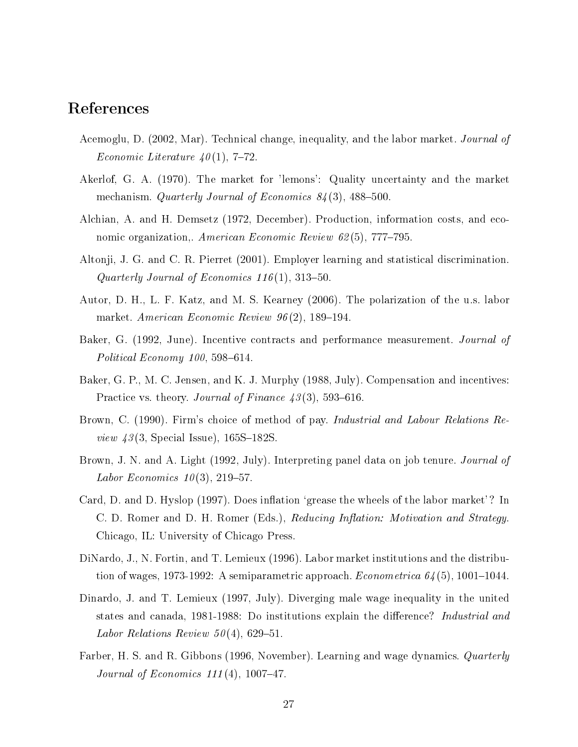## References

- Acemoglu, D. (2002, Mar). Technical change, inequality, and the labor market. Journal of Economic Literature  $40(1)$ , 7-72.
- Akerlof, G. A. (1970). The market for 'lemons': Quality uncertainty and the market mechanism. Quarterly Journal of Economics  $84(3)$ , 488-500.
- Alchian, A. and H. Demsetz (1972, December). Production, information costs, and economic organization,. American Economic Review  $62(5)$ , 777-795.
- Altonji, J. G. and C. R. Pierret (2001). Employer learning and statistical discrimination. Quarterly Journal of Economics  $116(1)$ , 313-50.
- Autor, D. H., L. F. Katz, and M. S. Kearney (2006). The polarization of the u.s. labor market. American Economic Review  $96(2)$ , 189-194.
- Baker, G. (1992, June). Incentive contracts and performance measurement. Journal of Political Economy  $100, 598-614$ .
- Baker, G. P., M. C. Jensen, and K. J. Murphy (1988, July). Compensation and incentives: Practice vs. theory. Journal of Finance  $43(3)$ , 593-616.
- Brown, C. (1990). Firm's choice of method of pay. *Industrial and Labour Relations Review 43* (3, Special Issue),  $165S-182S$ .
- Brown, J. N. and A. Light (1992, July). Interpreting panel data on job tenure. *Journal of* Labor Economics  $10(3)$ , 219-57.
- Card, D. and D. Hyslop (1997). Does inflation 'grease the wheels of the labor market'? In C. D. Romer and D. H. Romer (Eds.), Reducing Inflation: Motivation and Strategy. Chicago, IL: University of Chicago Press.
- DiNardo, J., N. Fortin, and T. Lemieux (1996). Labor market institutions and the distribution of wages, 1973-1992: A semiparametric approach. *Econometrica*  $64(5)$ , 1001–1044.
- Dinardo, J. and T. Lemieux (1997, July). Diverging male wage inequality in the united states and canada, 1981-1988: Do institutions explain the difference? *Industrial and* Labor Relations Review  $50(4)$ , 629-51.
- Farber, H. S. and R. Gibbons (1996, November). Learning and wage dynamics. *Quarterly* Journal of Economics  $111(4)$ , 1007-47.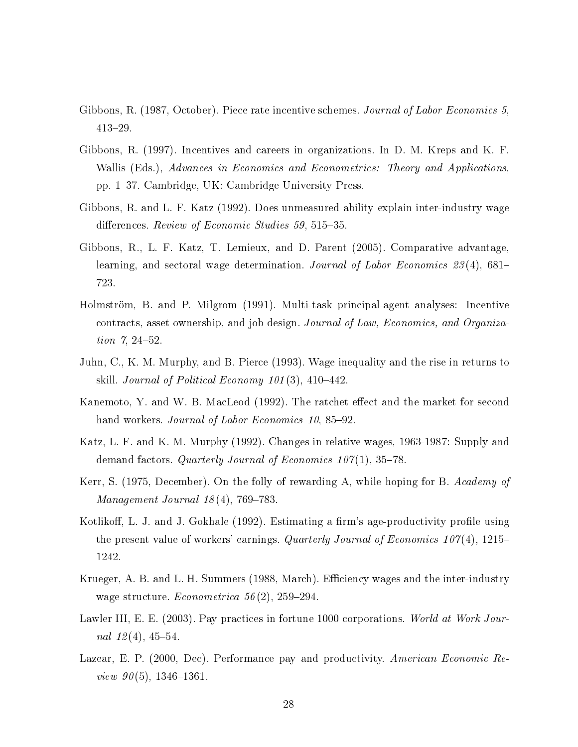- Gibbons, R. (1987, October). Piece rate incentive schemes. Journal of Labor Economics 5. 41329.
- Gibbons, R. (1997). Incentives and careers in organizations. In D. M. Kreps and K. F. Wallis (Eds.), Advances in Economics and Econometrics: Theory and Applications, pp. 137. Cambridge, UK: Cambridge University Press.
- Gibbons, R. and L. F. Katz (1992). Does unmeasured ability explain inter-industry wage differences. *Review of Economic Studies* 59, 515–35.
- Gibbons, R., L. F. Katz, T. Lemieux, and D. Parent (2005). Comparative advantage, learning, and sectoral wage determination. Journal of Labor Economics 23(4), 681– 723.
- Holmström, B. and P. Milgrom (1991). Multi-task principal-agent analyses: Incentive contracts, asset ownership, and job design. Journal of Law, Economics, and Organization  $7, 24-52.$
- Juhn, C., K. M. Murphy, and B. Pierce (1993). Wage inequality and the rise in returns to skill. Journal of Political Economy  $101(3)$ ,  $410-442$ .
- Kanemoto, Y. and W. B. MacLeod (1992). The ratchet effect and the market for second hand workers. Journal of Labor Economics 10, 85–92.
- Katz, L. F. and K. M. Murphy (1992). Changes in relative wages, 1963-1987: Supply and demand factors. Quarterly Journal of Economics  $107(1)$ , 35–78.
- Kerr, S. (1975, December). On the folly of rewarding A, while hoping for B. Academy of Management Journal  $18(4)$ , 769-783.
- Kotlikoff, L. J. and J. Gokhale (1992). Estimating a firm's age-productivity profile using the present value of workers' earnings. Quarterly Journal of Economics  $107(4)$ , 1215– 1242.
- Krueger, A. B. and L. H. Summers (1988, March). Efficiency wages and the inter-industry wage structure. *Econometrica* 56(2), 259–294.
- Lawler III, E. E. (2003). Pay practices in fortune 1000 corporations. World at Work Journal  $12(4)$ , 45-54.
- Lazear, E. P. (2000, Dec). Performance pay and productivity. American Economic Review  $90(5)$ , 1346-1361.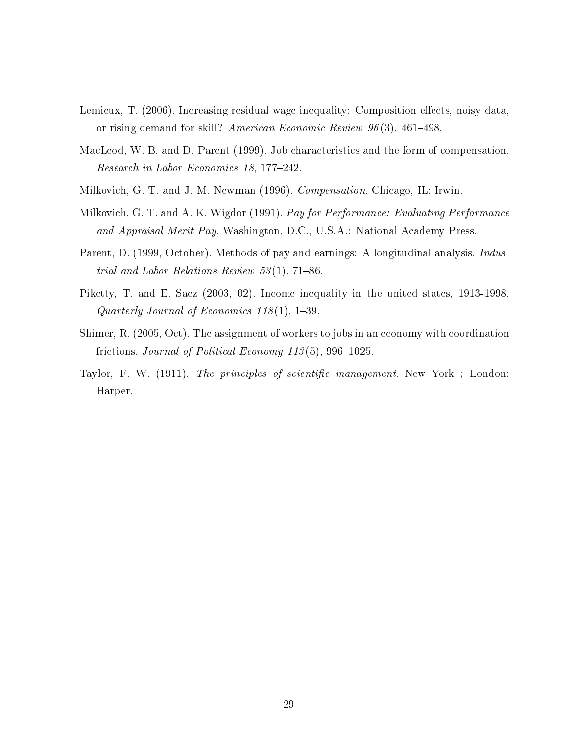- Lemieux, T. (2006). Increasing residual wage inequality: Composition effects, noisy data, or rising demand for skill? American Economic Review  $96(3)$ , 461-498.
- MacLeod, W. B. and D. Parent (1999). Job characteristics and the form of compensation. Research in Labor Economics 18, 177–242.
- Milkovich, G. T. and J. M. Newman (1996). Compensation. Chicago, IL: Irwin.
- Milkovich, G. T. and A. K. Wigdor (1991). Pay for Performance: Evaluating Performance and Appraisal Merit Pay. Washington, D.C., U.S.A.: National Academy Press.
- Parent, D. (1999, October). Methods of pay and earnings: A longitudinal analysis. *Indus*trial and Labor Relations Review  $53(1)$ , 71-86.
- Piketty, T. and E. Saez (2003, 02). Income inequality in the united states, 1913-1998. Quarterly Journal of Economics  $118(1)$ , 1-39.
- Shimer, R. (2005, Oct). The assignment of workers to jobs in an economy with coordination frictions. Journal of Political Economy  $113(5)$ , 996-1025.
- Taylor, F. W. (1911). The principles of scientific management. New York; London: Harper.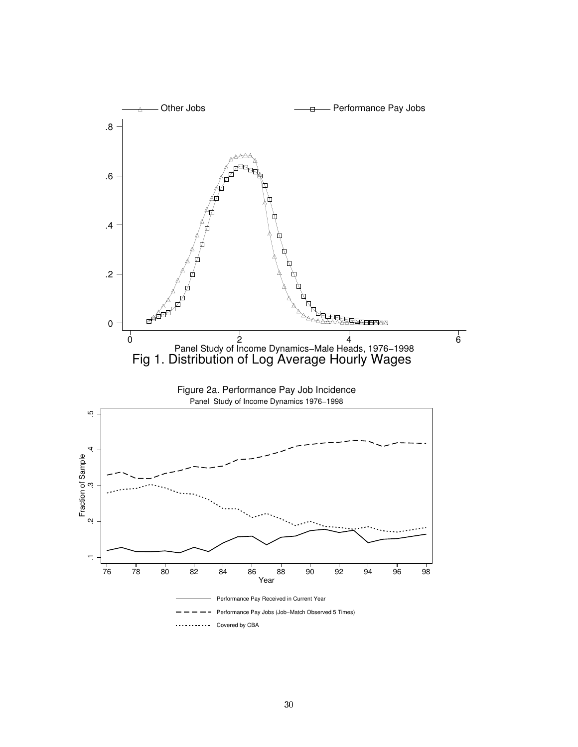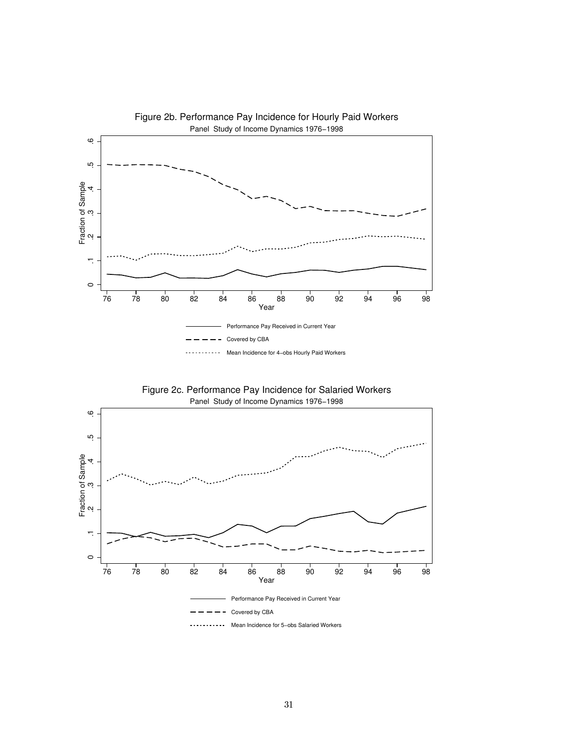

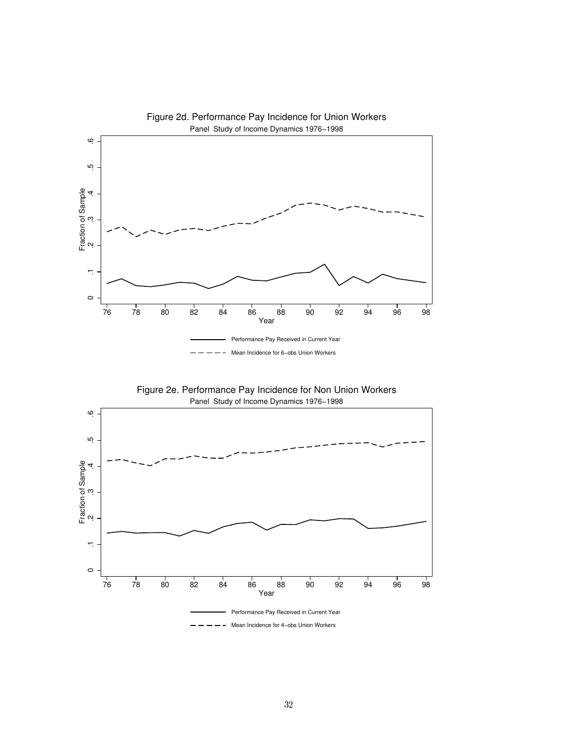



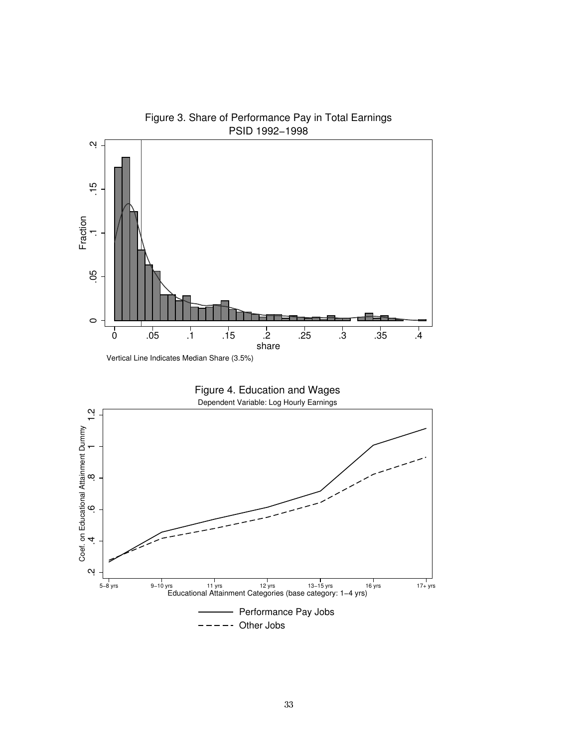

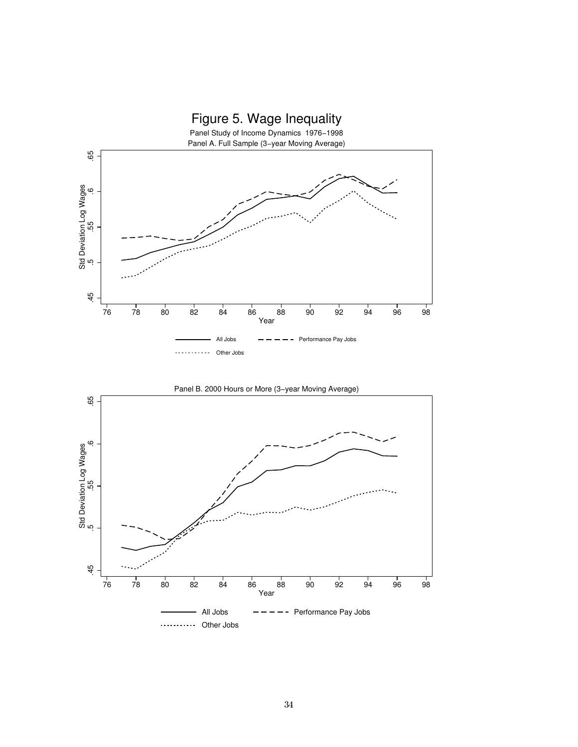

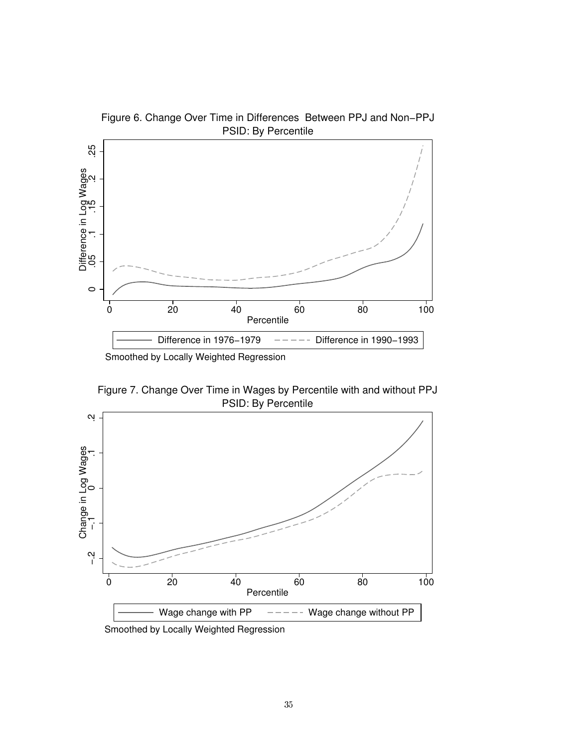

Figure 6. Change Over Time in Differences Between PPJ and Non−PPJ

Smoothed by Locally Weighted Regression

PSID: By Percentile Figure 7. Change Over Time in Wages by Percentile with and without PPJ

![](_page_37_Figure_4.jpeg)

Smoothed by Locally Weighted Regression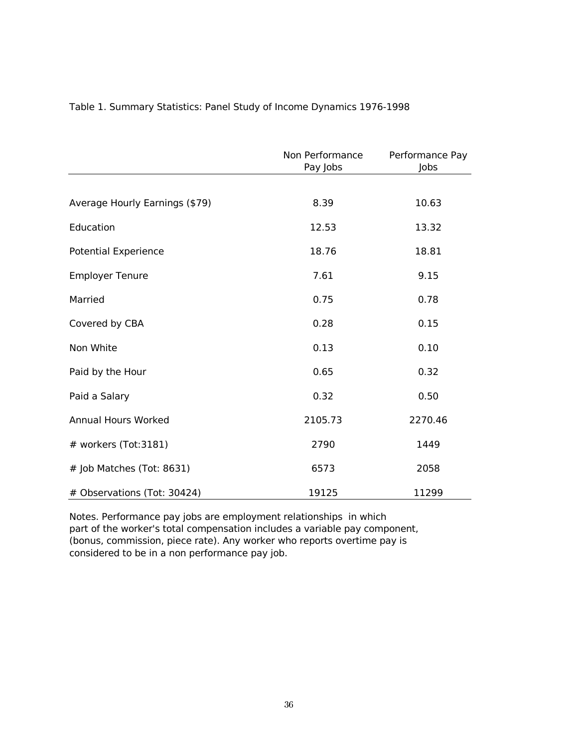|                                | Non Performance<br>Pay Jobs | Performance Pay<br>Jobs |
|--------------------------------|-----------------------------|-------------------------|
|                                |                             |                         |
| Average Hourly Earnings (\$79) | 8.39                        | 10.63                   |
| Education                      | 12.53                       | 13.32                   |
| <b>Potential Experience</b>    | 18.76                       | 18.81                   |
| <b>Employer Tenure</b>         | 7.61                        | 9.15                    |
| Married                        | 0.75                        | 0.78                    |
| Covered by CBA                 | 0.28                        | 0.15                    |
| Non White                      | 0.13                        | 0.10                    |
| Paid by the Hour               | 0.65                        | 0.32                    |
| Paid a Salary                  | 0.32                        | 0.50                    |
| Annual Hours Worked            | 2105.73                     | 2270.46                 |
| # workers (Tot:3181)           | 2790                        | 1449                    |
| # Job Matches (Tot: 8631)      | 6573                        | 2058                    |
| # Observations (Tot: 30424)    | 19125                       | 11299                   |

#### Table 1. Summary Statistics: Panel Study of Income Dynamics 1976-1998

Notes. Performance pay jobs are employment relationships in which part of the worker's total compensation includes a variable pay component, (bonus, commission, piece rate). Any worker who reports overtime pay is considered to be in a non performance pay job.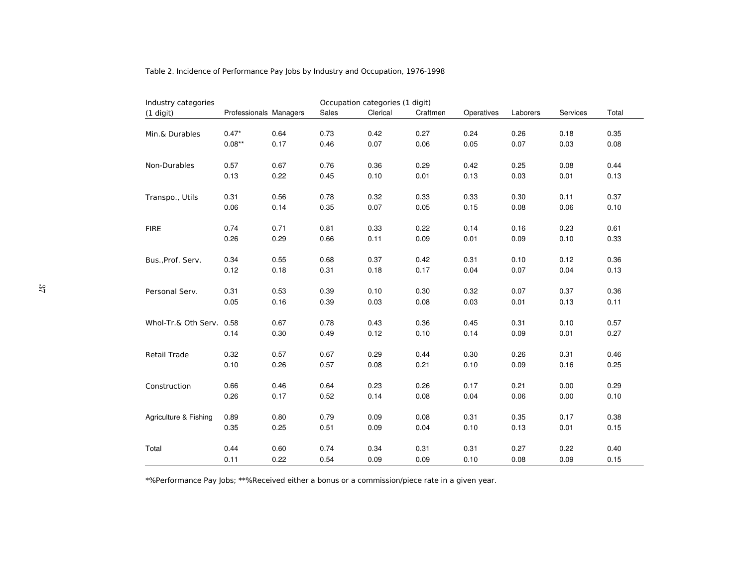| Industry categories      |                        |      |       | Occupation categories (1 digit) |          |            |          |          |       |
|--------------------------|------------------------|------|-------|---------------------------------|----------|------------|----------|----------|-------|
| (1 digit)                | Professionals Managers |      | Sales | Clerical                        | Craftmen | Operatives | Laborers | Services | Total |
|                          |                        |      |       |                                 |          |            |          |          |       |
| Min.& Durables           | $0.47*$                | 0.64 | 0.73  | 0.42                            | 0.27     | 0.24       | 0.26     | 0.18     | 0.35  |
|                          | $0.08**$               | 0.17 | 0.46  | 0.07                            | 0.06     | 0.05       | 0.07     | 0.03     | 0.08  |
|                          |                        |      |       |                                 |          |            |          |          |       |
| Non-Durables             | 0.57                   | 0.67 | 0.76  | 0.36                            | 0.29     | 0.42       | 0.25     | 0.08     | 0.44  |
|                          | 0.13                   | 0.22 | 0.45  | 0.10                            | 0.01     | 0.13       | 0.03     | 0.01     | 0.13  |
|                          |                        |      |       |                                 |          |            |          |          |       |
| Transpo., Utils          | 0.31                   | 0.56 | 0.78  | 0.32                            | 0.33     | 0.33       | 0.30     | 0.11     | 0.37  |
|                          | 0.06                   | 0.14 | 0.35  | 0.07                            | 0.05     | 0.15       | 0.08     | 0.06     | 0.10  |
|                          |                        |      |       |                                 |          |            |          |          |       |
| <b>FIRE</b>              | 0.74                   | 0.71 | 0.81  | 0.33                            | 0.22     | 0.14       | 0.16     | 0.23     | 0.61  |
|                          | 0.26                   | 0.29 | 0.66  | 0.11                            | 0.09     | 0.01       | 0.09     | 0.10     | 0.33  |
|                          |                        |      |       |                                 |          |            |          |          |       |
| Bus., Prof. Serv.        | 0.34                   | 0.55 | 0.68  | 0.37                            | 0.42     | 0.31       | 0.10     | 0.12     | 0.36  |
|                          | 0.12                   | 0.18 | 0.31  | 0.18                            | 0.17     | 0.04       | 0.07     | 0.04     | 0.13  |
|                          |                        |      |       |                                 |          |            |          |          |       |
| Personal Serv.           | 0.31                   | 0.53 | 0.39  | 0.10                            | 0.30     | 0.32       | 0.07     | 0.37     | 0.36  |
|                          | 0.05                   | 0.16 | 0.39  | 0.03                            | 0.08     | 0.03       | 0.01     | 0.13     | 0.11  |
|                          |                        |      |       |                                 |          |            |          |          |       |
| Whol-Tr.& Oth Serv. 0.58 |                        | 0.67 | 0.78  | 0.43                            | 0.36     | 0.45       | 0.31     | 0.10     | 0.57  |
|                          | 0.14                   | 0.30 | 0.49  | 0.12                            | 0.10     | 0.14       | 0.09     | 0.01     | 0.27  |
|                          | 0.32                   | 0.57 | 0.67  | 0.29                            | 0.44     | 0.30       | 0.26     | 0.31     | 0.46  |
| Retail Trade             | 0.10                   | 0.26 | 0.57  | 0.08                            | 0.21     | 0.10       | 0.09     | 0.16     | 0.25  |
|                          |                        |      |       |                                 |          |            |          |          |       |
| Construction             | 0.66                   | 0.46 | 0.64  | 0.23                            | 0.26     | 0.17       | 0.21     | 0.00     | 0.29  |
|                          | 0.26                   | 0.17 | 0.52  | 0.14                            | 0.08     | 0.04       | 0.06     | 0.00     | 0.10  |
|                          |                        |      |       |                                 |          |            |          |          |       |
| Agriculture & Fishing    | 0.89                   | 0.80 | 0.79  | 0.09                            | 0.08     | 0.31       | 0.35     | 0.17     | 0.38  |
|                          | 0.35                   | 0.25 | 0.51  | 0.09                            | 0.04     | 0.10       | 0.13     | 0.01     | 0.15  |
|                          |                        |      |       |                                 |          |            |          |          |       |
| Total                    | 0.44                   | 0.60 | 0.74  | 0.34                            | 0.31     | 0.31       | 0.27     | 0.22     | 0.40  |
|                          | 0.11                   | 0.22 | 0.54  | 0.09                            | 0.09     | 0.10       | 0.08     | 0.09     | 0.15  |
|                          |                        |      |       |                                 |          |            |          |          |       |

Table 2. Incidence of Performance Pay Jobs by Industry and Occupation, 1976-1998

\*%Performance Pay Jobs; \*\*%Received either a bonus or a commission/piece rate in a given year.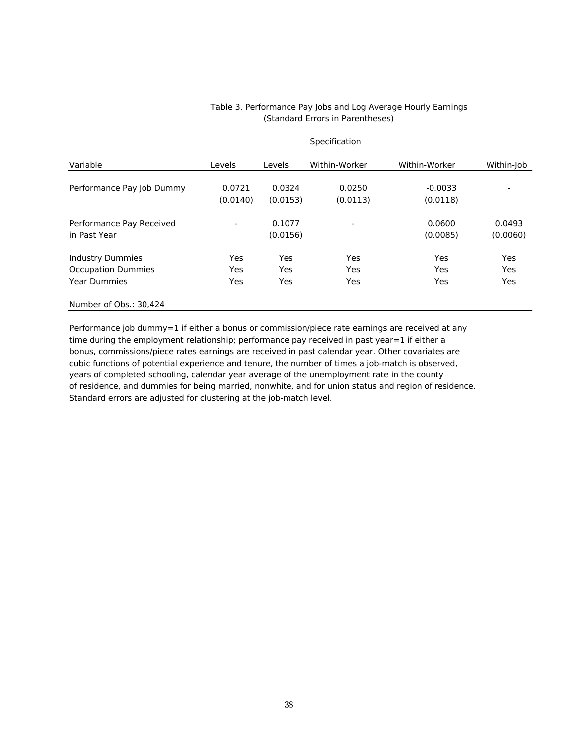#### Table 3. Performance Pay Jobs and Log Average Hourly Earnings (Standard Errors in Parentheses)

**Specification** 

| Variable                  | Levels                   | <b>Levels</b> | Within-Worker | Within-Worker | Within-Job |
|---------------------------|--------------------------|---------------|---------------|---------------|------------|
| Performance Pay Job Dummy | 0.0721                   | 0.0324        | 0.0250        | $-0.0033$     |            |
|                           | (0.0140)                 | (0.0153)      | (0.0113)      | (0.0118)      |            |
| Performance Pay Received  | $\overline{\phantom{0}}$ | 0.1077        |               | 0.0600        | 0.0493     |
| in Past Year              |                          | (0.0156)      |               | (0.0085)      | (0.0060)   |
| <b>Industry Dummies</b>   | Yes                      | Yes           | Yes           | Yes           | Yes        |
| <b>Occupation Dummies</b> | Yes                      | Yes           | Yes           | Yes           | <b>Yes</b> |
| <b>Year Dummies</b>       | Yes                      | Yes           | Yes           | Yes           | <b>Yes</b> |
| Number of Obs.: 30,424    |                          |               |               |               |            |

Performance job dummy=1 if either a bonus or commission/piece rate earnings are received at any time during the employment relationship; performance pay received in past year=1 if either a bonus, commissions/piece rates earnings are received in past calendar year. Other covariates are cubic functions of potential experience and tenure, the number of times a job-match is observed, years of completed schooling, calendar year average of the unemployment rate in the county of residence, and dummies for being married, nonwhite, and for union status and region of residence. Standard errors are adjusted for clustering at the job-match level.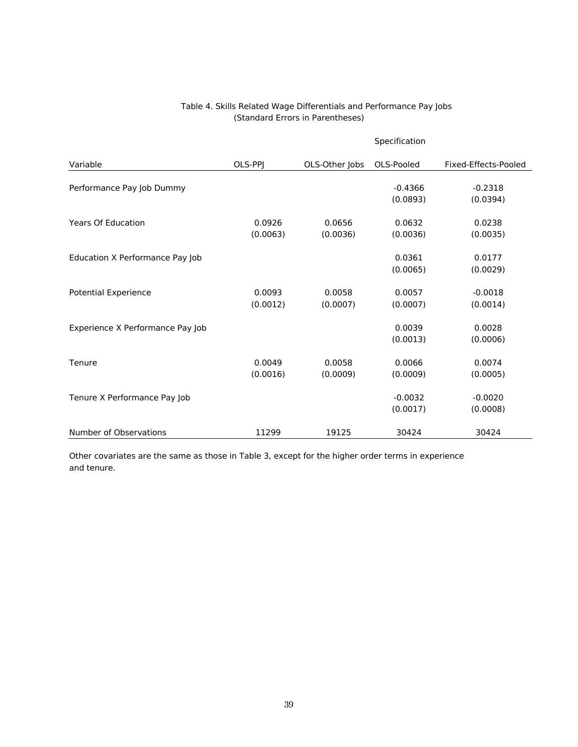#### Table 4. Skills Related Wage Differentials and Performance Pay Jobs (Standard Errors in Parentheses)

|                                  |          |                | Specification |                      |
|----------------------------------|----------|----------------|---------------|----------------------|
| Variable                         | OLS-PPJ  | OLS-Other Jobs | OLS-Pooled    | Fixed-Effects-Pooled |
| Performance Pay Job Dummy        |          |                | $-0.4366$     | $-0.2318$            |
|                                  |          |                | (0.0893)      | (0.0394)             |
| <b>Years Of Education</b>        | 0.0926   | 0.0656         | 0.0632        | 0.0238               |
|                                  | (0.0063) | (0.0036)       | (0.0036)      | (0.0035)             |
| Education X Performance Pay Job  |          |                | 0.0361        | 0.0177               |
|                                  |          |                | (0.0065)      | (0.0029)             |
| <b>Potential Experience</b>      | 0.0093   | 0.0058         | 0.0057        | $-0.0018$            |
|                                  | (0.0012) | (0.0007)       | (0.0007)      | (0.0014)             |
| Experience X Performance Pay Job |          |                | 0.0039        | 0.0028               |
|                                  |          |                | (0.0013)      | (0.0006)             |
| Tenure                           | 0.0049   | 0.0058         | 0.0066        | 0.0074               |
|                                  | (0.0016) | (0.0009)       | (0.0009)      | (0.0005)             |
| Tenure X Performance Pay Job     |          |                | $-0.0032$     | $-0.0020$            |
|                                  |          |                | (0.0017)      | (0.0008)             |
| Number of Observations           | 11299    | 19125          | 30424         | 30424                |

Other covariates are the same as those in Table 3, except for the higher order terms in experience and tenure.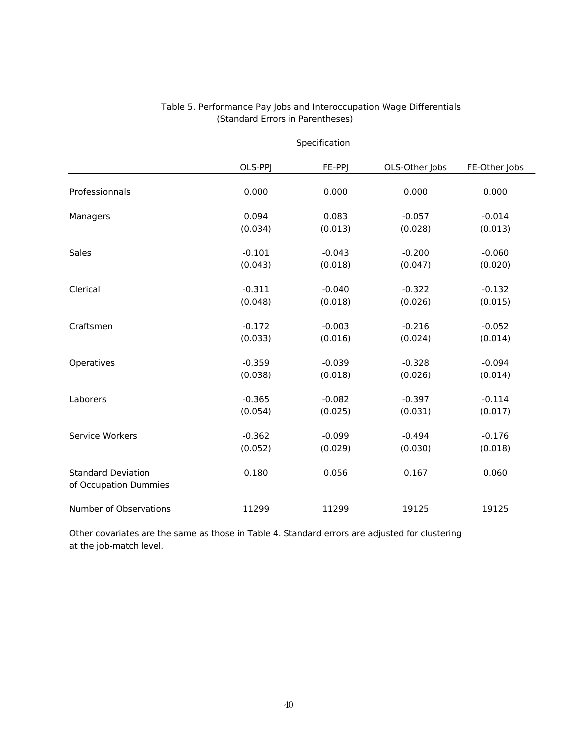|                                                    | Specification |          |                |               |
|----------------------------------------------------|---------------|----------|----------------|---------------|
|                                                    | OLS-PPJ       | FE-PPJ   | OLS-Other Jobs | FE-Other Jobs |
| Professionnals                                     | 0.000         | 0.000    | 0.000          | 0.000         |
| Managers                                           | 0.094         | 0.083    | $-0.057$       | $-0.014$      |
|                                                    | (0.034)       | (0.013)  | (0.028)        | (0.013)       |
| Sales                                              | $-0.101$      | $-0.043$ | $-0.200$       | $-0.060$      |
|                                                    | (0.043)       | (0.018)  | (0.047)        | (0.020)       |
| Clerical                                           | $-0.311$      | $-0.040$ | $-0.322$       | $-0.132$      |
|                                                    | (0.048)       | (0.018)  | (0.026)        | (0.015)       |
| Craftsmen                                          | $-0.172$      | $-0.003$ | $-0.216$       | $-0.052$      |
|                                                    | (0.033)       | (0.016)  | (0.024)        | (0.014)       |
| Operatives                                         | $-0.359$      | $-0.039$ | $-0.328$       | $-0.094$      |
|                                                    | (0.038)       | (0.018)  | (0.026)        | (0.014)       |
| Laborers                                           | $-0.365$      | $-0.082$ | $-0.397$       | $-0.114$      |
|                                                    | (0.054)       | (0.025)  | (0.031)        | (0.017)       |
| Service Workers                                    | $-0.362$      | $-0.099$ | $-0.494$       | $-0.176$      |
|                                                    | (0.052)       | (0.029)  | (0.030)        | (0.018)       |
| <b>Standard Deviation</b><br>of Occupation Dummies | 0.180         | 0.056    | 0.167          | 0.060         |
| Number of Observations                             | 11299         | 11299    | 19125          | 19125         |

#### (Standard Errors in Parentheses) Table 5. Performance Pay Jobs and Interoccupation Wage Differentials

Other covariates are the same as those in Table 4. Standard errors are adjusted for clustering at the job-match level.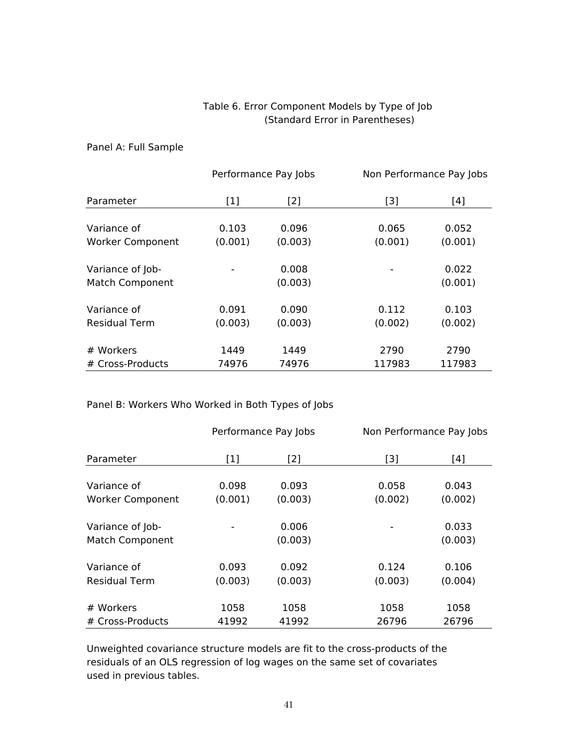#### Table 6. Error Component Models by Type of Job (Standard Error in Parentheses)

#### Panel A: Full Sample

|                                            | Performance Pay Jobs |                  | Non Performance Pay Jobs |                  |
|--------------------------------------------|----------------------|------------------|--------------------------|------------------|
| Parameter                                  | $[1]$                | [2]              | $[3]$                    | [4]              |
| Variance of                                | 0.103                | 0.096            | 0.065                    | 0.052            |
| <b>Worker Component</b>                    | (0.001)              | (0.003)          | (0.001)                  | (0.001)          |
| Variance of Job-<br><b>Match Component</b> |                      | 0.008<br>(0.003) |                          | 0.022<br>(0.001) |
| Variance of                                | 0.091                | 0.090            | 0.112                    | 0.103            |
| <b>Residual Term</b>                       | (0.003)              | (0.003)          | (0.002)                  | (0.002)          |
| # Workers                                  | 1449                 | 1449             | 2790                     | 2790             |
| # Cross-Products                           | 74976                | 74976            | 117983                   | 117983           |

#### Panel B: Workers Who Worked in Both Types of Jobs

|                         |         | Performance Pay Jobs |         | Non Performance Pay Jobs |  |
|-------------------------|---------|----------------------|---------|--------------------------|--|
| Parameter               | $[1]$   | [2]                  | [3]     | [4]                      |  |
|                         |         |                      |         |                          |  |
| Variance of             | 0.098   | 0.093                | 0.058   | 0.043                    |  |
| <b>Worker Component</b> | (0.001) | (0.003)              | (0.002) | (0.002)                  |  |
| Variance of Job-        |         | 0.006                |         | 0.033                    |  |
| <b>Match Component</b>  |         | (0.003)              |         | (0.003)                  |  |
| Variance of             | 0.093   | 0.092                | 0.124   | 0.106                    |  |
| <b>Residual Term</b>    | (0.003) | (0.003)              | (0.003) | (0.004)                  |  |
| # Workers               | 1058    | 1058                 | 1058    | 1058                     |  |
| # Cross-Products        | 41992   | 41992                | 26796   | 26796                    |  |

Unweighted covariance structure models are fit to the cross-products of the residuals of an OLS regression of log wages on the same set of covariates used in previous tables.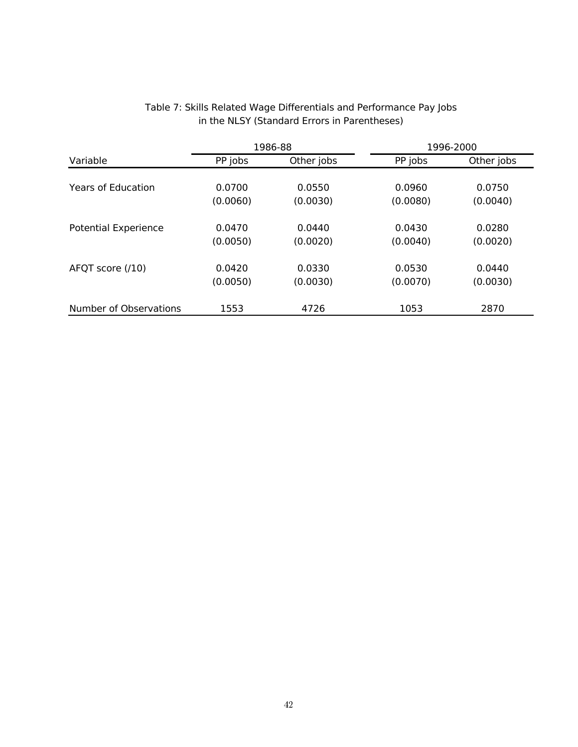|                             | 1986-88  |            |          | 1996-2000  |
|-----------------------------|----------|------------|----------|------------|
| Variable                    | PP jobs  | Other jobs | PP jobs  | Other jobs |
|                             |          |            |          |            |
| <b>Years of Education</b>   | 0.0700   | 0.0550     | 0.0960   | 0.0750     |
|                             | (0.0060) | (0.0030)   | (0.0080) | (0.0040)   |
|                             |          |            |          |            |
| <b>Potential Experience</b> | 0.0470   | 0.0440     | 0.0430   | 0.0280     |
|                             | (0.0050) | (0.0020)   | (0.0040) | (0.0020)   |
| AFQT score (/10)            | 0.0420   | 0.0330     | 0.0530   | 0.0440     |
|                             |          |            |          |            |
|                             | (0.0050) | (0.0030)   | (0.0070) | (0.0030)   |
| Number of Observations      | 1553     | 4726       | 1053     | 2870       |

#### Table 7: Skills Related Wage Differentials and Performance Pay Jobs in the NLSY (Standard Errors in Parentheses)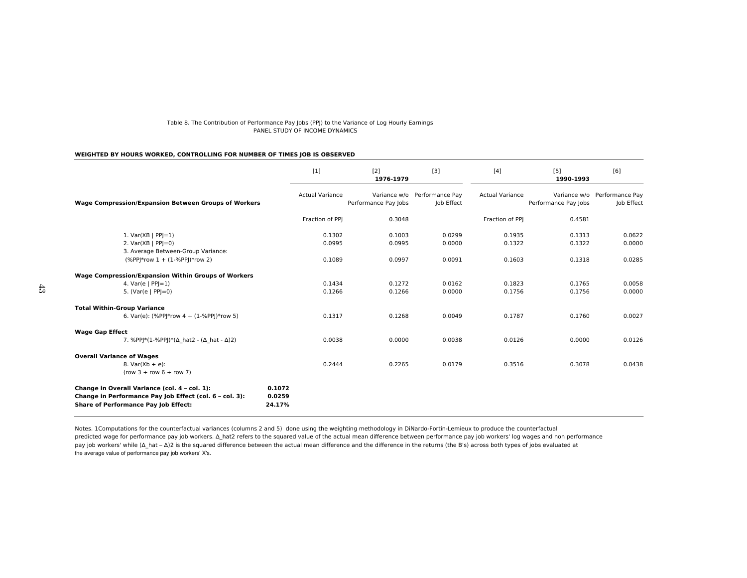#### Table 8. The Contribution of Performance Pay Jobs (PPJ) to the Variance of Log Hourly EarningsPANEL STUDY OF INCOME DYNAMICS

#### **WEIGHTED BY HOURS WORKED, CONTROLLING FOR NUMBER OF TIMES JOB IS OBSERVED**

|                                                                                                                                                         | $[1]$                      | $[2]$<br>1976-1979   | [3]                                        | $[4]$                  | $[5]$<br>1990-1993                   | [6]                           |
|---------------------------------------------------------------------------------------------------------------------------------------------------------|----------------------------|----------------------|--------------------------------------------|------------------------|--------------------------------------|-------------------------------|
| <b>Wage Compression/Expansion Between Groups of Workers</b>                                                                                             | <b>Actual Variance</b>     | Performance Pay Jobs | Variance w/o Performance Pay<br>Job Effect | <b>Actual Variance</b> | Variance w/o<br>Performance Pay Jobs | Performance Pay<br>Job Effect |
|                                                                                                                                                         | Fraction of PPI            | 0.3048               |                                            | Fraction of PPI        | 0.4581                               |                               |
| 1. $Var(XB   PP =1)$                                                                                                                                    | 0.1302                     | 0.1003               | 0.0299                                     | 0.1935                 | 0.1313                               | 0.0622                        |
| 2. $Var(XB   PP =0)$<br>3. Average Between-Group Variance:                                                                                              | 0.0995                     | 0.0995               | 0.0000                                     | 0.1322                 | 0.1322                               | 0.0000                        |
| $(\%PP *row 1 + (1-\%PP )*row 2)$                                                                                                                       | 0.1089                     | 0.0997               | 0.0091                                     | 0.1603                 | 0.1318                               | 0.0285                        |
| <b>Wage Compression/Expansion Within Groups of Workers</b>                                                                                              |                            |                      |                                            |                        |                                      |                               |
| 4. $Var(e   PP =1)$<br>5. (Var(e   $PPI = 0$ )                                                                                                          | 0.1434<br>0.1266           | 0.1272<br>0.1266     | 0.0162<br>0.0000                           | 0.1823<br>0.1756       | 0.1765<br>0.1756                     | 0.0058<br>0.0000              |
| <b>Total Within-Group Variance</b>                                                                                                                      |                            |                      |                                            |                        |                                      |                               |
| 6. Var(e): (%PP *row 4 + (1-%PP )*row 5)                                                                                                                | 0.1317                     | 0.1268               | 0.0049                                     | 0.1787                 | 0.1760                               | 0.0027                        |
| <b>Wage Gap Effect</b>                                                                                                                                  |                            |                      |                                            |                        |                                      |                               |
| 7. %PPJ*(1-%PPJ)*( $\Delta$ hat2 - ( $\Delta$ hat - $\Delta$ )2)                                                                                        | 0.0038                     | 0.0000               | 0.0038                                     | 0.0126                 | 0.0000                               | 0.0126                        |
| <b>Overall Variance of Wages</b><br>8. $Var(Xb + e)$ :<br>$(row 3 + row 6 + row 7)$                                                                     | 0.2444                     | 0.2265               | 0.0179                                     | 0.3516                 | 0.3078                               | 0.0438                        |
| Change in Overall Variance (col. 4 - col. 1):<br>Change in Performance Pay Job Effect (col. 6 - col. 3):<br><b>Share of Performance Pay Job Effect:</b> | 0.1072<br>0.0259<br>24.17% |                      |                                            |                        |                                      |                               |

predicted wage for performance pay job workers.  $\Delta$  hat2 refers to the squared value of the actual mean difference between performance pay job workers' log wages and non performance the average value of performance pay job workers' X's. Notes. 1Computations for the counterfactual variances (columns 2 and 5) done using the weighting methodology in DiNardo-Fortin-Lemieux to produce the counterfactualpay job workers' while (Δ\_hat – Δ)2 is the squared difference between the actual mean difference and the difference in the returns (the B's) across both types of jobs evaluated at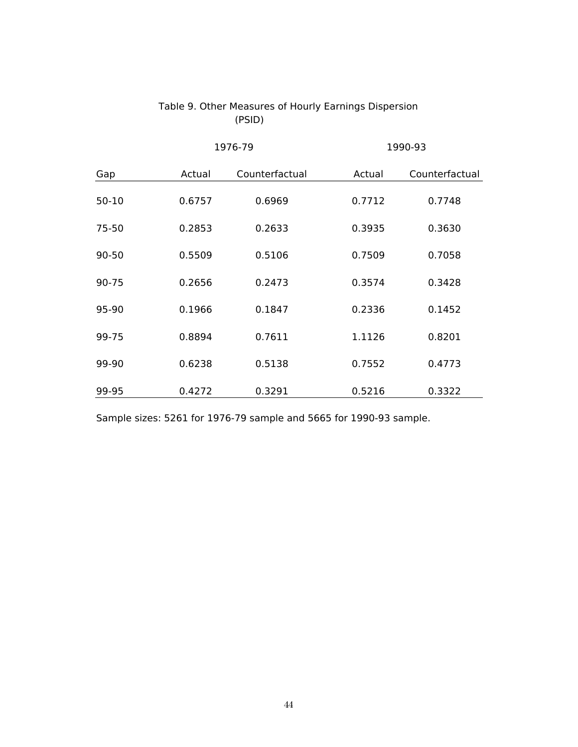|           | 1976-79 |                |        | 1990-93        |
|-----------|---------|----------------|--------|----------------|
| Gap       | Actual  | Counterfactual | Actual | Counterfactual |
| $50 - 10$ | 0.6757  | 0.6969         | 0.7712 | 0.7748         |
| 75-50     | 0.2853  | 0.2633         | 0.3935 | 0.3630         |
| 90-50     | 0.5509  | 0.5106         | 0.7509 | 0.7058         |
| 90-75     | 0.2656  | 0.2473         | 0.3574 | 0.3428         |
| 95-90     | 0.1966  | 0.1847         | 0.2336 | 0.1452         |
| 99-75     | 0.8894  | 0.7611         | 1.1126 | 0.8201         |
| 99-90     | 0.6238  | 0.5138         | 0.7552 | 0.4773         |
| 99-95     | 0.4272  | 0.3291         | 0.5216 | 0.3322         |

### Table 9. Other Measures of Hourly Earnings Dispersion (PSID)

Sample sizes: 5261 for 1976-79 sample and 5665 for 1990-93 sample.